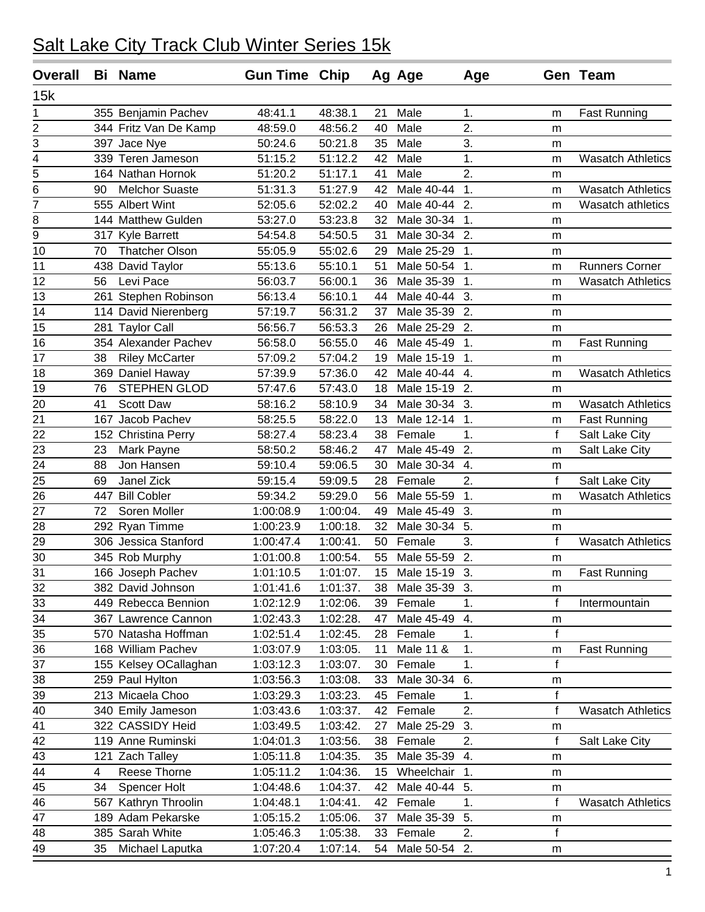| 15k<br>355 Benjamin Pachev<br>48:41.1<br>48:38.1<br>Male<br>1<br>21<br>1.<br><b>Fast Running</b><br>m<br>$\overline{c}$<br>$\overline{2}$ .<br>Male<br>344 Fritz Van De Kamp<br>48:59.0<br>48:56.2<br>40<br>m<br>3<br>3.<br>Male<br>397 Jace Nye<br>50:24.6<br>50:21.8<br>35<br>m<br>4<br>339 Teren Jameson<br>51:15.2<br>51:12.2<br>42<br>Male<br>1.<br><b>Wasatch Athletics</b><br>m<br>$\overline{5}$<br>$\overline{2}$ .<br>164 Nathan Hornok<br>51:20.2<br>Male<br>51:17.1<br>41<br>m<br>6<br>51:31.3<br>Male 40-44<br>$\mathbf 1$ .<br><b>Melchor Suaste</b><br>51:27.9<br>42<br><b>Wasatch Athletics</b><br>90<br>m<br>$\overline{7}$<br>555 Albert Wint<br>52:05.6<br>52:02.2<br>Male 40-44<br>2.<br><b>Wasatch athletics</b><br>40<br>m<br>8<br>144 Matthew Gulden<br>53:27.0<br>53:23.8<br>Male 30-34<br>$\mathbf 1$ .<br>32<br>m<br>$\overline{9}$<br>54:54.8<br>54:50.5<br>Male 30-34<br>$\overline{2}$ .<br>317 Kyle Barrett<br>31<br>${\sf m}$<br>70<br>55:05.9<br>55:02.6<br><b>Thatcher Olson</b><br>Male 25-29<br>$\mathbf 1$ .<br>10<br>29<br>m<br>55:13.6<br>55:10.1<br>Male 50-54<br>$\mathbf{1}$ .<br><b>Runners Corner</b><br>11<br>438 David Taylor<br>51<br>m<br>Levi Pace<br>56:03.7<br>56:00.1<br>36<br>Male 35-39<br>1.<br>12<br>56<br><b>Wasatch Athletics</b><br>m<br>3.<br>13<br>261 Stephen Robinson<br>56:13.4<br>56:10.1<br>Male 40-44<br>44<br>m<br>57:19.7<br>14<br>114 David Nierenberg<br>56:31.2<br>Male 35-39<br>2.<br>37<br>m<br>2.<br>15<br>281 Taylor Call<br>56:56.7<br>56:53.3<br>Male 25-29<br>26<br>m<br>16<br>354 Alexander Pachev<br>56:58.0<br>56:55.0<br>Male 45-49<br>$\mathbf 1$ .<br>46<br><b>Fast Running</b><br>m<br>57:04.2<br>17<br>38<br><b>Riley McCarter</b><br>57:09.2<br>19<br>Male 15-19<br>$\mathbf 1$ .<br>m<br>369 Daniel Haway<br>57:39.9<br>57:36.0<br>18<br>42<br>Male 40-44<br>4.<br><b>Wasatch Athletics</b><br>m<br>STEPHEN GLOD<br>19<br>76<br>57:47.6<br>57:43.0<br>18<br>Male 15-19<br>2.<br>m<br>Scott Daw<br>58:16.2<br>58:10.9<br>Male 30-34<br>3.<br>20<br>41<br>34<br><b>Wasatch Athletics</b><br>m<br>21<br>167 Jacob Pachev<br>58:25.5<br>58:22.0<br>Male 12-14<br>$\mathbf 1$ .<br>13<br><b>Fast Running</b><br>m<br>22<br>58:27.4<br>38<br>Female<br>1.<br>f<br>152 Christina Perry<br>58:23.4<br>Salt Lake City<br>Male 45-49<br>2.<br>23<br>Mark Payne<br>58:50.2<br>58:46.2<br>Salt Lake City<br>23<br>47<br>m<br>24<br>59:06.5<br>88<br>Jon Hansen<br>59:10.4<br>30<br>Male 30-34<br>4.<br>m<br>$\mathsf{f}$<br>25<br>$\overline{2}$ .<br>Janel Zick<br>Salt Lake City<br>69<br>59:15.4<br>59:09.5<br>28<br>Female<br>26<br><b>Bill Cobler</b><br>59:34.2<br>59:29.0<br>Male 55-59<br>1.<br>56<br><b>Wasatch Athletics</b><br>447<br>m<br>27<br>72<br>Soren Moller<br>1:00:04.<br>Male 45-49<br>3.<br>1:00:08.9<br>49<br>m<br>5.<br>28<br>292 Ryan Timme<br>1:00:23.9<br>1:00:18.<br>32<br>Male 30-34<br>m<br>$\mathbf{f}$<br>3.<br>29<br>306 Jessica Stanford<br>1:00:41.<br>Female<br><b>Wasatch Athletics</b><br>1:00:47.4<br>50<br>2.<br>30<br>1:01:00.8<br>1:00:54.<br>55<br>Male 55-59<br>345 Rob Murphy<br>m<br>31<br>3.<br>166 Joseph Pachev<br>1:01:10.5<br>1:01:07.<br>15<br>Male 15-19<br><b>Fast Running</b><br>m<br>1:01:41.6<br>1:01:37.<br>382 David Johnson<br>Male 35-39<br>3.<br>32<br>38<br>m<br>f<br>33<br>Female<br>1.<br>449 Rebecca Bennion<br>1:02:12.9<br>1:02:06.<br>39<br>Intermountain<br>34<br>Male 45-49<br>367 Lawrence Cannon<br>1:02:43.3<br>1:02:28.<br>4.<br>47<br>m<br>f<br>35<br>570 Natasha Hoffman<br>1:02:51.4<br>1:02:45.<br>28<br>Female<br>1.<br>168 William Pachev<br>Male 11 &<br>36<br>1:03:07.9<br>1:03:05.<br>1.<br><b>Fast Running</b><br>11<br>m<br>1.<br>f<br>37<br>155 Kelsey OCallaghan<br>Female<br>1:03:12.3<br>1:03:07.<br>30<br>38<br>6.<br>259 Paul Hylton<br>1:03:08.<br>Male 30-34<br>1:03:56.3<br>33<br>m<br>$\mathsf f$<br>39<br>213 Micaela Choo<br>1:03:29.3<br>1:03:23.<br>Female<br>1.<br>45<br>2.<br>40<br>Female<br><b>Wasatch Athletics</b><br>340 Emily Jameson<br>1:03:43.6<br>1:03:37.<br>42<br>41<br>322 CASSIDY Heid<br>1:03:42.<br>3.<br>1:03:49.5<br>27<br>Male 25-29<br>m<br>2.<br>f<br>42<br>119 Anne Ruminski<br>1:04:01.3<br>1:03:56.<br>38<br>Female<br>Salt Lake City<br>43<br>121 Zach Talley<br>Male 35-39<br>4.<br>1:05:11.8<br>1:04:35.<br>35<br>m<br>Reese Thorne<br>1:05:11.2<br>1:04:36.<br>Wheelchair<br>$\overline{1}$ .<br>44<br>4<br>15<br>m<br>Spencer Holt<br>Male 40-44 5.<br>45<br>34<br>1:04:48.6<br>1:04:37.<br>42<br>m<br>$\mathbf{f}$<br>567 Kathryn Throolin<br>46<br>1.<br><b>Wasatch Athletics</b><br>1:04:48.1<br>1:04:41.<br>42<br>Female<br>47<br>189 Adam Pekarske<br>Male 35-39<br>5.<br>1:05:15.2<br>1:05:06.<br>37<br>m<br>$\mathbf{f}$<br>48<br>385 Sarah White<br>Female<br>1:05:46.3<br>1:05:38.<br>33<br>2.<br>49<br>Male 50-54 2.<br>35<br>Michael Laputka<br>1:07:20.4<br>1:07:14.<br>54<br>m | <b>Overall</b> | <b>Bi</b> Name | <b>Gun Time Chip</b> |  | Ag Age | Age | Gen Team |
|------------------------------------------------------------------------------------------------------------------------------------------------------------------------------------------------------------------------------------------------------------------------------------------------------------------------------------------------------------------------------------------------------------------------------------------------------------------------------------------------------------------------------------------------------------------------------------------------------------------------------------------------------------------------------------------------------------------------------------------------------------------------------------------------------------------------------------------------------------------------------------------------------------------------------------------------------------------------------------------------------------------------------------------------------------------------------------------------------------------------------------------------------------------------------------------------------------------------------------------------------------------------------------------------------------------------------------------------------------------------------------------------------------------------------------------------------------------------------------------------------------------------------------------------------------------------------------------------------------------------------------------------------------------------------------------------------------------------------------------------------------------------------------------------------------------------------------------------------------------------------------------------------------------------------------------------------------------------------------------------------------------------------------------------------------------------------------------------------------------------------------------------------------------------------------------------------------------------------------------------------------------------------------------------------------------------------------------------------------------------------------------------------------------------------------------------------------------------------------------------------------------------------------------------------------------------------------------------------------------------------------------------------------------------------------------------------------------------------------------------------------------------------------------------------------------------------------------------------------------------------------------------------------------------------------------------------------------------------------------------------------------------------------------------------------------------------------------------------------------------------------------------------------------------------------------------------------------------------------------------------------------------------------------------------------------------------------------------------------------------------------------------------------------------------------------------------------------------------------------------------------------------------------------------------------------------------------------------------------------------------------------------------------------------------------------------------------------------------------------------------------------------------------------------------------------------------------------------------------------------------------------------------------------------------------------------------------------------------------------------------------------------------------------------------------------------------------------------------------------------------------------------------------------------------------------------------------------------------------------------------------------------------------------------------------------------------------------------------------------------------------------------------------------------------------------------------------------------------------------------------------------------------------------------------------------------------------------------------------------------------------------------------------------------------------------------------------------------------------------------------------------------------------------------------------------------------------------------------------------------------------------------------------|----------------|----------------|----------------------|--|--------|-----|----------|
|                                                                                                                                                                                                                                                                                                                                                                                                                                                                                                                                                                                                                                                                                                                                                                                                                                                                                                                                                                                                                                                                                                                                                                                                                                                                                                                                                                                                                                                                                                                                                                                                                                                                                                                                                                                                                                                                                                                                                                                                                                                                                                                                                                                                                                                                                                                                                                                                                                                                                                                                                                                                                                                                                                                                                                                                                                                                                                                                                                                                                                                                                                                                                                                                                                                                                                                                                                                                                                                                                                                                                                                                                                                                                                                                                                                                                                                                                                                                                                                                                                                                                                                                                                                                                                                                                                                                                                                                                                                                                                                                                                                                                                                                                                                                                                                                                                                                                                            |                |                |                      |  |        |     |          |
|                                                                                                                                                                                                                                                                                                                                                                                                                                                                                                                                                                                                                                                                                                                                                                                                                                                                                                                                                                                                                                                                                                                                                                                                                                                                                                                                                                                                                                                                                                                                                                                                                                                                                                                                                                                                                                                                                                                                                                                                                                                                                                                                                                                                                                                                                                                                                                                                                                                                                                                                                                                                                                                                                                                                                                                                                                                                                                                                                                                                                                                                                                                                                                                                                                                                                                                                                                                                                                                                                                                                                                                                                                                                                                                                                                                                                                                                                                                                                                                                                                                                                                                                                                                                                                                                                                                                                                                                                                                                                                                                                                                                                                                                                                                                                                                                                                                                                                            |                |                |                      |  |        |     |          |
|                                                                                                                                                                                                                                                                                                                                                                                                                                                                                                                                                                                                                                                                                                                                                                                                                                                                                                                                                                                                                                                                                                                                                                                                                                                                                                                                                                                                                                                                                                                                                                                                                                                                                                                                                                                                                                                                                                                                                                                                                                                                                                                                                                                                                                                                                                                                                                                                                                                                                                                                                                                                                                                                                                                                                                                                                                                                                                                                                                                                                                                                                                                                                                                                                                                                                                                                                                                                                                                                                                                                                                                                                                                                                                                                                                                                                                                                                                                                                                                                                                                                                                                                                                                                                                                                                                                                                                                                                                                                                                                                                                                                                                                                                                                                                                                                                                                                                                            |                |                |                      |  |        |     |          |
|                                                                                                                                                                                                                                                                                                                                                                                                                                                                                                                                                                                                                                                                                                                                                                                                                                                                                                                                                                                                                                                                                                                                                                                                                                                                                                                                                                                                                                                                                                                                                                                                                                                                                                                                                                                                                                                                                                                                                                                                                                                                                                                                                                                                                                                                                                                                                                                                                                                                                                                                                                                                                                                                                                                                                                                                                                                                                                                                                                                                                                                                                                                                                                                                                                                                                                                                                                                                                                                                                                                                                                                                                                                                                                                                                                                                                                                                                                                                                                                                                                                                                                                                                                                                                                                                                                                                                                                                                                                                                                                                                                                                                                                                                                                                                                                                                                                                                                            |                |                |                      |  |        |     |          |
|                                                                                                                                                                                                                                                                                                                                                                                                                                                                                                                                                                                                                                                                                                                                                                                                                                                                                                                                                                                                                                                                                                                                                                                                                                                                                                                                                                                                                                                                                                                                                                                                                                                                                                                                                                                                                                                                                                                                                                                                                                                                                                                                                                                                                                                                                                                                                                                                                                                                                                                                                                                                                                                                                                                                                                                                                                                                                                                                                                                                                                                                                                                                                                                                                                                                                                                                                                                                                                                                                                                                                                                                                                                                                                                                                                                                                                                                                                                                                                                                                                                                                                                                                                                                                                                                                                                                                                                                                                                                                                                                                                                                                                                                                                                                                                                                                                                                                                            |                |                |                      |  |        |     |          |
|                                                                                                                                                                                                                                                                                                                                                                                                                                                                                                                                                                                                                                                                                                                                                                                                                                                                                                                                                                                                                                                                                                                                                                                                                                                                                                                                                                                                                                                                                                                                                                                                                                                                                                                                                                                                                                                                                                                                                                                                                                                                                                                                                                                                                                                                                                                                                                                                                                                                                                                                                                                                                                                                                                                                                                                                                                                                                                                                                                                                                                                                                                                                                                                                                                                                                                                                                                                                                                                                                                                                                                                                                                                                                                                                                                                                                                                                                                                                                                                                                                                                                                                                                                                                                                                                                                                                                                                                                                                                                                                                                                                                                                                                                                                                                                                                                                                                                                            |                |                |                      |  |        |     |          |
|                                                                                                                                                                                                                                                                                                                                                                                                                                                                                                                                                                                                                                                                                                                                                                                                                                                                                                                                                                                                                                                                                                                                                                                                                                                                                                                                                                                                                                                                                                                                                                                                                                                                                                                                                                                                                                                                                                                                                                                                                                                                                                                                                                                                                                                                                                                                                                                                                                                                                                                                                                                                                                                                                                                                                                                                                                                                                                                                                                                                                                                                                                                                                                                                                                                                                                                                                                                                                                                                                                                                                                                                                                                                                                                                                                                                                                                                                                                                                                                                                                                                                                                                                                                                                                                                                                                                                                                                                                                                                                                                                                                                                                                                                                                                                                                                                                                                                                            |                |                |                      |  |        |     |          |
|                                                                                                                                                                                                                                                                                                                                                                                                                                                                                                                                                                                                                                                                                                                                                                                                                                                                                                                                                                                                                                                                                                                                                                                                                                                                                                                                                                                                                                                                                                                                                                                                                                                                                                                                                                                                                                                                                                                                                                                                                                                                                                                                                                                                                                                                                                                                                                                                                                                                                                                                                                                                                                                                                                                                                                                                                                                                                                                                                                                                                                                                                                                                                                                                                                                                                                                                                                                                                                                                                                                                                                                                                                                                                                                                                                                                                                                                                                                                                                                                                                                                                                                                                                                                                                                                                                                                                                                                                                                                                                                                                                                                                                                                                                                                                                                                                                                                                                            |                |                |                      |  |        |     |          |
|                                                                                                                                                                                                                                                                                                                                                                                                                                                                                                                                                                                                                                                                                                                                                                                                                                                                                                                                                                                                                                                                                                                                                                                                                                                                                                                                                                                                                                                                                                                                                                                                                                                                                                                                                                                                                                                                                                                                                                                                                                                                                                                                                                                                                                                                                                                                                                                                                                                                                                                                                                                                                                                                                                                                                                                                                                                                                                                                                                                                                                                                                                                                                                                                                                                                                                                                                                                                                                                                                                                                                                                                                                                                                                                                                                                                                                                                                                                                                                                                                                                                                                                                                                                                                                                                                                                                                                                                                                                                                                                                                                                                                                                                                                                                                                                                                                                                                                            |                |                |                      |  |        |     |          |
|                                                                                                                                                                                                                                                                                                                                                                                                                                                                                                                                                                                                                                                                                                                                                                                                                                                                                                                                                                                                                                                                                                                                                                                                                                                                                                                                                                                                                                                                                                                                                                                                                                                                                                                                                                                                                                                                                                                                                                                                                                                                                                                                                                                                                                                                                                                                                                                                                                                                                                                                                                                                                                                                                                                                                                                                                                                                                                                                                                                                                                                                                                                                                                                                                                                                                                                                                                                                                                                                                                                                                                                                                                                                                                                                                                                                                                                                                                                                                                                                                                                                                                                                                                                                                                                                                                                                                                                                                                                                                                                                                                                                                                                                                                                                                                                                                                                                                                            |                |                |                      |  |        |     |          |
|                                                                                                                                                                                                                                                                                                                                                                                                                                                                                                                                                                                                                                                                                                                                                                                                                                                                                                                                                                                                                                                                                                                                                                                                                                                                                                                                                                                                                                                                                                                                                                                                                                                                                                                                                                                                                                                                                                                                                                                                                                                                                                                                                                                                                                                                                                                                                                                                                                                                                                                                                                                                                                                                                                                                                                                                                                                                                                                                                                                                                                                                                                                                                                                                                                                                                                                                                                                                                                                                                                                                                                                                                                                                                                                                                                                                                                                                                                                                                                                                                                                                                                                                                                                                                                                                                                                                                                                                                                                                                                                                                                                                                                                                                                                                                                                                                                                                                                            |                |                |                      |  |        |     |          |
|                                                                                                                                                                                                                                                                                                                                                                                                                                                                                                                                                                                                                                                                                                                                                                                                                                                                                                                                                                                                                                                                                                                                                                                                                                                                                                                                                                                                                                                                                                                                                                                                                                                                                                                                                                                                                                                                                                                                                                                                                                                                                                                                                                                                                                                                                                                                                                                                                                                                                                                                                                                                                                                                                                                                                                                                                                                                                                                                                                                                                                                                                                                                                                                                                                                                                                                                                                                                                                                                                                                                                                                                                                                                                                                                                                                                                                                                                                                                                                                                                                                                                                                                                                                                                                                                                                                                                                                                                                                                                                                                                                                                                                                                                                                                                                                                                                                                                                            |                |                |                      |  |        |     |          |
|                                                                                                                                                                                                                                                                                                                                                                                                                                                                                                                                                                                                                                                                                                                                                                                                                                                                                                                                                                                                                                                                                                                                                                                                                                                                                                                                                                                                                                                                                                                                                                                                                                                                                                                                                                                                                                                                                                                                                                                                                                                                                                                                                                                                                                                                                                                                                                                                                                                                                                                                                                                                                                                                                                                                                                                                                                                                                                                                                                                                                                                                                                                                                                                                                                                                                                                                                                                                                                                                                                                                                                                                                                                                                                                                                                                                                                                                                                                                                                                                                                                                                                                                                                                                                                                                                                                                                                                                                                                                                                                                                                                                                                                                                                                                                                                                                                                                                                            |                |                |                      |  |        |     |          |
|                                                                                                                                                                                                                                                                                                                                                                                                                                                                                                                                                                                                                                                                                                                                                                                                                                                                                                                                                                                                                                                                                                                                                                                                                                                                                                                                                                                                                                                                                                                                                                                                                                                                                                                                                                                                                                                                                                                                                                                                                                                                                                                                                                                                                                                                                                                                                                                                                                                                                                                                                                                                                                                                                                                                                                                                                                                                                                                                                                                                                                                                                                                                                                                                                                                                                                                                                                                                                                                                                                                                                                                                                                                                                                                                                                                                                                                                                                                                                                                                                                                                                                                                                                                                                                                                                                                                                                                                                                                                                                                                                                                                                                                                                                                                                                                                                                                                                                            |                |                |                      |  |        |     |          |
|                                                                                                                                                                                                                                                                                                                                                                                                                                                                                                                                                                                                                                                                                                                                                                                                                                                                                                                                                                                                                                                                                                                                                                                                                                                                                                                                                                                                                                                                                                                                                                                                                                                                                                                                                                                                                                                                                                                                                                                                                                                                                                                                                                                                                                                                                                                                                                                                                                                                                                                                                                                                                                                                                                                                                                                                                                                                                                                                                                                                                                                                                                                                                                                                                                                                                                                                                                                                                                                                                                                                                                                                                                                                                                                                                                                                                                                                                                                                                                                                                                                                                                                                                                                                                                                                                                                                                                                                                                                                                                                                                                                                                                                                                                                                                                                                                                                                                                            |                |                |                      |  |        |     |          |
|                                                                                                                                                                                                                                                                                                                                                                                                                                                                                                                                                                                                                                                                                                                                                                                                                                                                                                                                                                                                                                                                                                                                                                                                                                                                                                                                                                                                                                                                                                                                                                                                                                                                                                                                                                                                                                                                                                                                                                                                                                                                                                                                                                                                                                                                                                                                                                                                                                                                                                                                                                                                                                                                                                                                                                                                                                                                                                                                                                                                                                                                                                                                                                                                                                                                                                                                                                                                                                                                                                                                                                                                                                                                                                                                                                                                                                                                                                                                                                                                                                                                                                                                                                                                                                                                                                                                                                                                                                                                                                                                                                                                                                                                                                                                                                                                                                                                                                            |                |                |                      |  |        |     |          |
|                                                                                                                                                                                                                                                                                                                                                                                                                                                                                                                                                                                                                                                                                                                                                                                                                                                                                                                                                                                                                                                                                                                                                                                                                                                                                                                                                                                                                                                                                                                                                                                                                                                                                                                                                                                                                                                                                                                                                                                                                                                                                                                                                                                                                                                                                                                                                                                                                                                                                                                                                                                                                                                                                                                                                                                                                                                                                                                                                                                                                                                                                                                                                                                                                                                                                                                                                                                                                                                                                                                                                                                                                                                                                                                                                                                                                                                                                                                                                                                                                                                                                                                                                                                                                                                                                                                                                                                                                                                                                                                                                                                                                                                                                                                                                                                                                                                                                                            |                |                |                      |  |        |     |          |
|                                                                                                                                                                                                                                                                                                                                                                                                                                                                                                                                                                                                                                                                                                                                                                                                                                                                                                                                                                                                                                                                                                                                                                                                                                                                                                                                                                                                                                                                                                                                                                                                                                                                                                                                                                                                                                                                                                                                                                                                                                                                                                                                                                                                                                                                                                                                                                                                                                                                                                                                                                                                                                                                                                                                                                                                                                                                                                                                                                                                                                                                                                                                                                                                                                                                                                                                                                                                                                                                                                                                                                                                                                                                                                                                                                                                                                                                                                                                                                                                                                                                                                                                                                                                                                                                                                                                                                                                                                                                                                                                                                                                                                                                                                                                                                                                                                                                                                            |                |                |                      |  |        |     |          |
|                                                                                                                                                                                                                                                                                                                                                                                                                                                                                                                                                                                                                                                                                                                                                                                                                                                                                                                                                                                                                                                                                                                                                                                                                                                                                                                                                                                                                                                                                                                                                                                                                                                                                                                                                                                                                                                                                                                                                                                                                                                                                                                                                                                                                                                                                                                                                                                                                                                                                                                                                                                                                                                                                                                                                                                                                                                                                                                                                                                                                                                                                                                                                                                                                                                                                                                                                                                                                                                                                                                                                                                                                                                                                                                                                                                                                                                                                                                                                                                                                                                                                                                                                                                                                                                                                                                                                                                                                                                                                                                                                                                                                                                                                                                                                                                                                                                                                                            |                |                |                      |  |        |     |          |
|                                                                                                                                                                                                                                                                                                                                                                                                                                                                                                                                                                                                                                                                                                                                                                                                                                                                                                                                                                                                                                                                                                                                                                                                                                                                                                                                                                                                                                                                                                                                                                                                                                                                                                                                                                                                                                                                                                                                                                                                                                                                                                                                                                                                                                                                                                                                                                                                                                                                                                                                                                                                                                                                                                                                                                                                                                                                                                                                                                                                                                                                                                                                                                                                                                                                                                                                                                                                                                                                                                                                                                                                                                                                                                                                                                                                                                                                                                                                                                                                                                                                                                                                                                                                                                                                                                                                                                                                                                                                                                                                                                                                                                                                                                                                                                                                                                                                                                            |                |                |                      |  |        |     |          |
|                                                                                                                                                                                                                                                                                                                                                                                                                                                                                                                                                                                                                                                                                                                                                                                                                                                                                                                                                                                                                                                                                                                                                                                                                                                                                                                                                                                                                                                                                                                                                                                                                                                                                                                                                                                                                                                                                                                                                                                                                                                                                                                                                                                                                                                                                                                                                                                                                                                                                                                                                                                                                                                                                                                                                                                                                                                                                                                                                                                                                                                                                                                                                                                                                                                                                                                                                                                                                                                                                                                                                                                                                                                                                                                                                                                                                                                                                                                                                                                                                                                                                                                                                                                                                                                                                                                                                                                                                                                                                                                                                                                                                                                                                                                                                                                                                                                                                                            |                |                |                      |  |        |     |          |
|                                                                                                                                                                                                                                                                                                                                                                                                                                                                                                                                                                                                                                                                                                                                                                                                                                                                                                                                                                                                                                                                                                                                                                                                                                                                                                                                                                                                                                                                                                                                                                                                                                                                                                                                                                                                                                                                                                                                                                                                                                                                                                                                                                                                                                                                                                                                                                                                                                                                                                                                                                                                                                                                                                                                                                                                                                                                                                                                                                                                                                                                                                                                                                                                                                                                                                                                                                                                                                                                                                                                                                                                                                                                                                                                                                                                                                                                                                                                                                                                                                                                                                                                                                                                                                                                                                                                                                                                                                                                                                                                                                                                                                                                                                                                                                                                                                                                                                            |                |                |                      |  |        |     |          |
|                                                                                                                                                                                                                                                                                                                                                                                                                                                                                                                                                                                                                                                                                                                                                                                                                                                                                                                                                                                                                                                                                                                                                                                                                                                                                                                                                                                                                                                                                                                                                                                                                                                                                                                                                                                                                                                                                                                                                                                                                                                                                                                                                                                                                                                                                                                                                                                                                                                                                                                                                                                                                                                                                                                                                                                                                                                                                                                                                                                                                                                                                                                                                                                                                                                                                                                                                                                                                                                                                                                                                                                                                                                                                                                                                                                                                                                                                                                                                                                                                                                                                                                                                                                                                                                                                                                                                                                                                                                                                                                                                                                                                                                                                                                                                                                                                                                                                                            |                |                |                      |  |        |     |          |
|                                                                                                                                                                                                                                                                                                                                                                                                                                                                                                                                                                                                                                                                                                                                                                                                                                                                                                                                                                                                                                                                                                                                                                                                                                                                                                                                                                                                                                                                                                                                                                                                                                                                                                                                                                                                                                                                                                                                                                                                                                                                                                                                                                                                                                                                                                                                                                                                                                                                                                                                                                                                                                                                                                                                                                                                                                                                                                                                                                                                                                                                                                                                                                                                                                                                                                                                                                                                                                                                                                                                                                                                                                                                                                                                                                                                                                                                                                                                                                                                                                                                                                                                                                                                                                                                                                                                                                                                                                                                                                                                                                                                                                                                                                                                                                                                                                                                                                            |                |                |                      |  |        |     |          |
|                                                                                                                                                                                                                                                                                                                                                                                                                                                                                                                                                                                                                                                                                                                                                                                                                                                                                                                                                                                                                                                                                                                                                                                                                                                                                                                                                                                                                                                                                                                                                                                                                                                                                                                                                                                                                                                                                                                                                                                                                                                                                                                                                                                                                                                                                                                                                                                                                                                                                                                                                                                                                                                                                                                                                                                                                                                                                                                                                                                                                                                                                                                                                                                                                                                                                                                                                                                                                                                                                                                                                                                                                                                                                                                                                                                                                                                                                                                                                                                                                                                                                                                                                                                                                                                                                                                                                                                                                                                                                                                                                                                                                                                                                                                                                                                                                                                                                                            |                |                |                      |  |        |     |          |
|                                                                                                                                                                                                                                                                                                                                                                                                                                                                                                                                                                                                                                                                                                                                                                                                                                                                                                                                                                                                                                                                                                                                                                                                                                                                                                                                                                                                                                                                                                                                                                                                                                                                                                                                                                                                                                                                                                                                                                                                                                                                                                                                                                                                                                                                                                                                                                                                                                                                                                                                                                                                                                                                                                                                                                                                                                                                                                                                                                                                                                                                                                                                                                                                                                                                                                                                                                                                                                                                                                                                                                                                                                                                                                                                                                                                                                                                                                                                                                                                                                                                                                                                                                                                                                                                                                                                                                                                                                                                                                                                                                                                                                                                                                                                                                                                                                                                                                            |                |                |                      |  |        |     |          |
|                                                                                                                                                                                                                                                                                                                                                                                                                                                                                                                                                                                                                                                                                                                                                                                                                                                                                                                                                                                                                                                                                                                                                                                                                                                                                                                                                                                                                                                                                                                                                                                                                                                                                                                                                                                                                                                                                                                                                                                                                                                                                                                                                                                                                                                                                                                                                                                                                                                                                                                                                                                                                                                                                                                                                                                                                                                                                                                                                                                                                                                                                                                                                                                                                                                                                                                                                                                                                                                                                                                                                                                                                                                                                                                                                                                                                                                                                                                                                                                                                                                                                                                                                                                                                                                                                                                                                                                                                                                                                                                                                                                                                                                                                                                                                                                                                                                                                                            |                |                |                      |  |        |     |          |
|                                                                                                                                                                                                                                                                                                                                                                                                                                                                                                                                                                                                                                                                                                                                                                                                                                                                                                                                                                                                                                                                                                                                                                                                                                                                                                                                                                                                                                                                                                                                                                                                                                                                                                                                                                                                                                                                                                                                                                                                                                                                                                                                                                                                                                                                                                                                                                                                                                                                                                                                                                                                                                                                                                                                                                                                                                                                                                                                                                                                                                                                                                                                                                                                                                                                                                                                                                                                                                                                                                                                                                                                                                                                                                                                                                                                                                                                                                                                                                                                                                                                                                                                                                                                                                                                                                                                                                                                                                                                                                                                                                                                                                                                                                                                                                                                                                                                                                            |                |                |                      |  |        |     |          |
|                                                                                                                                                                                                                                                                                                                                                                                                                                                                                                                                                                                                                                                                                                                                                                                                                                                                                                                                                                                                                                                                                                                                                                                                                                                                                                                                                                                                                                                                                                                                                                                                                                                                                                                                                                                                                                                                                                                                                                                                                                                                                                                                                                                                                                                                                                                                                                                                                                                                                                                                                                                                                                                                                                                                                                                                                                                                                                                                                                                                                                                                                                                                                                                                                                                                                                                                                                                                                                                                                                                                                                                                                                                                                                                                                                                                                                                                                                                                                                                                                                                                                                                                                                                                                                                                                                                                                                                                                                                                                                                                                                                                                                                                                                                                                                                                                                                                                                            |                |                |                      |  |        |     |          |
|                                                                                                                                                                                                                                                                                                                                                                                                                                                                                                                                                                                                                                                                                                                                                                                                                                                                                                                                                                                                                                                                                                                                                                                                                                                                                                                                                                                                                                                                                                                                                                                                                                                                                                                                                                                                                                                                                                                                                                                                                                                                                                                                                                                                                                                                                                                                                                                                                                                                                                                                                                                                                                                                                                                                                                                                                                                                                                                                                                                                                                                                                                                                                                                                                                                                                                                                                                                                                                                                                                                                                                                                                                                                                                                                                                                                                                                                                                                                                                                                                                                                                                                                                                                                                                                                                                                                                                                                                                                                                                                                                                                                                                                                                                                                                                                                                                                                                                            |                |                |                      |  |        |     |          |
|                                                                                                                                                                                                                                                                                                                                                                                                                                                                                                                                                                                                                                                                                                                                                                                                                                                                                                                                                                                                                                                                                                                                                                                                                                                                                                                                                                                                                                                                                                                                                                                                                                                                                                                                                                                                                                                                                                                                                                                                                                                                                                                                                                                                                                                                                                                                                                                                                                                                                                                                                                                                                                                                                                                                                                                                                                                                                                                                                                                                                                                                                                                                                                                                                                                                                                                                                                                                                                                                                                                                                                                                                                                                                                                                                                                                                                                                                                                                                                                                                                                                                                                                                                                                                                                                                                                                                                                                                                                                                                                                                                                                                                                                                                                                                                                                                                                                                                            |                |                |                      |  |        |     |          |
|                                                                                                                                                                                                                                                                                                                                                                                                                                                                                                                                                                                                                                                                                                                                                                                                                                                                                                                                                                                                                                                                                                                                                                                                                                                                                                                                                                                                                                                                                                                                                                                                                                                                                                                                                                                                                                                                                                                                                                                                                                                                                                                                                                                                                                                                                                                                                                                                                                                                                                                                                                                                                                                                                                                                                                                                                                                                                                                                                                                                                                                                                                                                                                                                                                                                                                                                                                                                                                                                                                                                                                                                                                                                                                                                                                                                                                                                                                                                                                                                                                                                                                                                                                                                                                                                                                                                                                                                                                                                                                                                                                                                                                                                                                                                                                                                                                                                                                            |                |                |                      |  |        |     |          |
|                                                                                                                                                                                                                                                                                                                                                                                                                                                                                                                                                                                                                                                                                                                                                                                                                                                                                                                                                                                                                                                                                                                                                                                                                                                                                                                                                                                                                                                                                                                                                                                                                                                                                                                                                                                                                                                                                                                                                                                                                                                                                                                                                                                                                                                                                                                                                                                                                                                                                                                                                                                                                                                                                                                                                                                                                                                                                                                                                                                                                                                                                                                                                                                                                                                                                                                                                                                                                                                                                                                                                                                                                                                                                                                                                                                                                                                                                                                                                                                                                                                                                                                                                                                                                                                                                                                                                                                                                                                                                                                                                                                                                                                                                                                                                                                                                                                                                                            |                |                |                      |  |        |     |          |
|                                                                                                                                                                                                                                                                                                                                                                                                                                                                                                                                                                                                                                                                                                                                                                                                                                                                                                                                                                                                                                                                                                                                                                                                                                                                                                                                                                                                                                                                                                                                                                                                                                                                                                                                                                                                                                                                                                                                                                                                                                                                                                                                                                                                                                                                                                                                                                                                                                                                                                                                                                                                                                                                                                                                                                                                                                                                                                                                                                                                                                                                                                                                                                                                                                                                                                                                                                                                                                                                                                                                                                                                                                                                                                                                                                                                                                                                                                                                                                                                                                                                                                                                                                                                                                                                                                                                                                                                                                                                                                                                                                                                                                                                                                                                                                                                                                                                                                            |                |                |                      |  |        |     |          |
|                                                                                                                                                                                                                                                                                                                                                                                                                                                                                                                                                                                                                                                                                                                                                                                                                                                                                                                                                                                                                                                                                                                                                                                                                                                                                                                                                                                                                                                                                                                                                                                                                                                                                                                                                                                                                                                                                                                                                                                                                                                                                                                                                                                                                                                                                                                                                                                                                                                                                                                                                                                                                                                                                                                                                                                                                                                                                                                                                                                                                                                                                                                                                                                                                                                                                                                                                                                                                                                                                                                                                                                                                                                                                                                                                                                                                                                                                                                                                                                                                                                                                                                                                                                                                                                                                                                                                                                                                                                                                                                                                                                                                                                                                                                                                                                                                                                                                                            |                |                |                      |  |        |     |          |
|                                                                                                                                                                                                                                                                                                                                                                                                                                                                                                                                                                                                                                                                                                                                                                                                                                                                                                                                                                                                                                                                                                                                                                                                                                                                                                                                                                                                                                                                                                                                                                                                                                                                                                                                                                                                                                                                                                                                                                                                                                                                                                                                                                                                                                                                                                                                                                                                                                                                                                                                                                                                                                                                                                                                                                                                                                                                                                                                                                                                                                                                                                                                                                                                                                                                                                                                                                                                                                                                                                                                                                                                                                                                                                                                                                                                                                                                                                                                                                                                                                                                                                                                                                                                                                                                                                                                                                                                                                                                                                                                                                                                                                                                                                                                                                                                                                                                                                            |                |                |                      |  |        |     |          |
|                                                                                                                                                                                                                                                                                                                                                                                                                                                                                                                                                                                                                                                                                                                                                                                                                                                                                                                                                                                                                                                                                                                                                                                                                                                                                                                                                                                                                                                                                                                                                                                                                                                                                                                                                                                                                                                                                                                                                                                                                                                                                                                                                                                                                                                                                                                                                                                                                                                                                                                                                                                                                                                                                                                                                                                                                                                                                                                                                                                                                                                                                                                                                                                                                                                                                                                                                                                                                                                                                                                                                                                                                                                                                                                                                                                                                                                                                                                                                                                                                                                                                                                                                                                                                                                                                                                                                                                                                                                                                                                                                                                                                                                                                                                                                                                                                                                                                                            |                |                |                      |  |        |     |          |
|                                                                                                                                                                                                                                                                                                                                                                                                                                                                                                                                                                                                                                                                                                                                                                                                                                                                                                                                                                                                                                                                                                                                                                                                                                                                                                                                                                                                                                                                                                                                                                                                                                                                                                                                                                                                                                                                                                                                                                                                                                                                                                                                                                                                                                                                                                                                                                                                                                                                                                                                                                                                                                                                                                                                                                                                                                                                                                                                                                                                                                                                                                                                                                                                                                                                                                                                                                                                                                                                                                                                                                                                                                                                                                                                                                                                                                                                                                                                                                                                                                                                                                                                                                                                                                                                                                                                                                                                                                                                                                                                                                                                                                                                                                                                                                                                                                                                                                            |                |                |                      |  |        |     |          |
|                                                                                                                                                                                                                                                                                                                                                                                                                                                                                                                                                                                                                                                                                                                                                                                                                                                                                                                                                                                                                                                                                                                                                                                                                                                                                                                                                                                                                                                                                                                                                                                                                                                                                                                                                                                                                                                                                                                                                                                                                                                                                                                                                                                                                                                                                                                                                                                                                                                                                                                                                                                                                                                                                                                                                                                                                                                                                                                                                                                                                                                                                                                                                                                                                                                                                                                                                                                                                                                                                                                                                                                                                                                                                                                                                                                                                                                                                                                                                                                                                                                                                                                                                                                                                                                                                                                                                                                                                                                                                                                                                                                                                                                                                                                                                                                                                                                                                                            |                |                |                      |  |        |     |          |
|                                                                                                                                                                                                                                                                                                                                                                                                                                                                                                                                                                                                                                                                                                                                                                                                                                                                                                                                                                                                                                                                                                                                                                                                                                                                                                                                                                                                                                                                                                                                                                                                                                                                                                                                                                                                                                                                                                                                                                                                                                                                                                                                                                                                                                                                                                                                                                                                                                                                                                                                                                                                                                                                                                                                                                                                                                                                                                                                                                                                                                                                                                                                                                                                                                                                                                                                                                                                                                                                                                                                                                                                                                                                                                                                                                                                                                                                                                                                                                                                                                                                                                                                                                                                                                                                                                                                                                                                                                                                                                                                                                                                                                                                                                                                                                                                                                                                                                            |                |                |                      |  |        |     |          |
|                                                                                                                                                                                                                                                                                                                                                                                                                                                                                                                                                                                                                                                                                                                                                                                                                                                                                                                                                                                                                                                                                                                                                                                                                                                                                                                                                                                                                                                                                                                                                                                                                                                                                                                                                                                                                                                                                                                                                                                                                                                                                                                                                                                                                                                                                                                                                                                                                                                                                                                                                                                                                                                                                                                                                                                                                                                                                                                                                                                                                                                                                                                                                                                                                                                                                                                                                                                                                                                                                                                                                                                                                                                                                                                                                                                                                                                                                                                                                                                                                                                                                                                                                                                                                                                                                                                                                                                                                                                                                                                                                                                                                                                                                                                                                                                                                                                                                                            |                |                |                      |  |        |     |          |
|                                                                                                                                                                                                                                                                                                                                                                                                                                                                                                                                                                                                                                                                                                                                                                                                                                                                                                                                                                                                                                                                                                                                                                                                                                                                                                                                                                                                                                                                                                                                                                                                                                                                                                                                                                                                                                                                                                                                                                                                                                                                                                                                                                                                                                                                                                                                                                                                                                                                                                                                                                                                                                                                                                                                                                                                                                                                                                                                                                                                                                                                                                                                                                                                                                                                                                                                                                                                                                                                                                                                                                                                                                                                                                                                                                                                                                                                                                                                                                                                                                                                                                                                                                                                                                                                                                                                                                                                                                                                                                                                                                                                                                                                                                                                                                                                                                                                                                            |                |                |                      |  |        |     |          |
|                                                                                                                                                                                                                                                                                                                                                                                                                                                                                                                                                                                                                                                                                                                                                                                                                                                                                                                                                                                                                                                                                                                                                                                                                                                                                                                                                                                                                                                                                                                                                                                                                                                                                                                                                                                                                                                                                                                                                                                                                                                                                                                                                                                                                                                                                                                                                                                                                                                                                                                                                                                                                                                                                                                                                                                                                                                                                                                                                                                                                                                                                                                                                                                                                                                                                                                                                                                                                                                                                                                                                                                                                                                                                                                                                                                                                                                                                                                                                                                                                                                                                                                                                                                                                                                                                                                                                                                                                                                                                                                                                                                                                                                                                                                                                                                                                                                                                                            |                |                |                      |  |        |     |          |
|                                                                                                                                                                                                                                                                                                                                                                                                                                                                                                                                                                                                                                                                                                                                                                                                                                                                                                                                                                                                                                                                                                                                                                                                                                                                                                                                                                                                                                                                                                                                                                                                                                                                                                                                                                                                                                                                                                                                                                                                                                                                                                                                                                                                                                                                                                                                                                                                                                                                                                                                                                                                                                                                                                                                                                                                                                                                                                                                                                                                                                                                                                                                                                                                                                                                                                                                                                                                                                                                                                                                                                                                                                                                                                                                                                                                                                                                                                                                                                                                                                                                                                                                                                                                                                                                                                                                                                                                                                                                                                                                                                                                                                                                                                                                                                                                                                                                                                            |                |                |                      |  |        |     |          |
|                                                                                                                                                                                                                                                                                                                                                                                                                                                                                                                                                                                                                                                                                                                                                                                                                                                                                                                                                                                                                                                                                                                                                                                                                                                                                                                                                                                                                                                                                                                                                                                                                                                                                                                                                                                                                                                                                                                                                                                                                                                                                                                                                                                                                                                                                                                                                                                                                                                                                                                                                                                                                                                                                                                                                                                                                                                                                                                                                                                                                                                                                                                                                                                                                                                                                                                                                                                                                                                                                                                                                                                                                                                                                                                                                                                                                                                                                                                                                                                                                                                                                                                                                                                                                                                                                                                                                                                                                                                                                                                                                                                                                                                                                                                                                                                                                                                                                                            |                |                |                      |  |        |     |          |
|                                                                                                                                                                                                                                                                                                                                                                                                                                                                                                                                                                                                                                                                                                                                                                                                                                                                                                                                                                                                                                                                                                                                                                                                                                                                                                                                                                                                                                                                                                                                                                                                                                                                                                                                                                                                                                                                                                                                                                                                                                                                                                                                                                                                                                                                                                                                                                                                                                                                                                                                                                                                                                                                                                                                                                                                                                                                                                                                                                                                                                                                                                                                                                                                                                                                                                                                                                                                                                                                                                                                                                                                                                                                                                                                                                                                                                                                                                                                                                                                                                                                                                                                                                                                                                                                                                                                                                                                                                                                                                                                                                                                                                                                                                                                                                                                                                                                                                            |                |                |                      |  |        |     |          |
|                                                                                                                                                                                                                                                                                                                                                                                                                                                                                                                                                                                                                                                                                                                                                                                                                                                                                                                                                                                                                                                                                                                                                                                                                                                                                                                                                                                                                                                                                                                                                                                                                                                                                                                                                                                                                                                                                                                                                                                                                                                                                                                                                                                                                                                                                                                                                                                                                                                                                                                                                                                                                                                                                                                                                                                                                                                                                                                                                                                                                                                                                                                                                                                                                                                                                                                                                                                                                                                                                                                                                                                                                                                                                                                                                                                                                                                                                                                                                                                                                                                                                                                                                                                                                                                                                                                                                                                                                                                                                                                                                                                                                                                                                                                                                                                                                                                                                                            |                |                |                      |  |        |     |          |
|                                                                                                                                                                                                                                                                                                                                                                                                                                                                                                                                                                                                                                                                                                                                                                                                                                                                                                                                                                                                                                                                                                                                                                                                                                                                                                                                                                                                                                                                                                                                                                                                                                                                                                                                                                                                                                                                                                                                                                                                                                                                                                                                                                                                                                                                                                                                                                                                                                                                                                                                                                                                                                                                                                                                                                                                                                                                                                                                                                                                                                                                                                                                                                                                                                                                                                                                                                                                                                                                                                                                                                                                                                                                                                                                                                                                                                                                                                                                                                                                                                                                                                                                                                                                                                                                                                                                                                                                                                                                                                                                                                                                                                                                                                                                                                                                                                                                                                            |                |                |                      |  |        |     |          |
|                                                                                                                                                                                                                                                                                                                                                                                                                                                                                                                                                                                                                                                                                                                                                                                                                                                                                                                                                                                                                                                                                                                                                                                                                                                                                                                                                                                                                                                                                                                                                                                                                                                                                                                                                                                                                                                                                                                                                                                                                                                                                                                                                                                                                                                                                                                                                                                                                                                                                                                                                                                                                                                                                                                                                                                                                                                                                                                                                                                                                                                                                                                                                                                                                                                                                                                                                                                                                                                                                                                                                                                                                                                                                                                                                                                                                                                                                                                                                                                                                                                                                                                                                                                                                                                                                                                                                                                                                                                                                                                                                                                                                                                                                                                                                                                                                                                                                                            |                |                |                      |  |        |     |          |
|                                                                                                                                                                                                                                                                                                                                                                                                                                                                                                                                                                                                                                                                                                                                                                                                                                                                                                                                                                                                                                                                                                                                                                                                                                                                                                                                                                                                                                                                                                                                                                                                                                                                                                                                                                                                                                                                                                                                                                                                                                                                                                                                                                                                                                                                                                                                                                                                                                                                                                                                                                                                                                                                                                                                                                                                                                                                                                                                                                                                                                                                                                                                                                                                                                                                                                                                                                                                                                                                                                                                                                                                                                                                                                                                                                                                                                                                                                                                                                                                                                                                                                                                                                                                                                                                                                                                                                                                                                                                                                                                                                                                                                                                                                                                                                                                                                                                                                            |                |                |                      |  |        |     |          |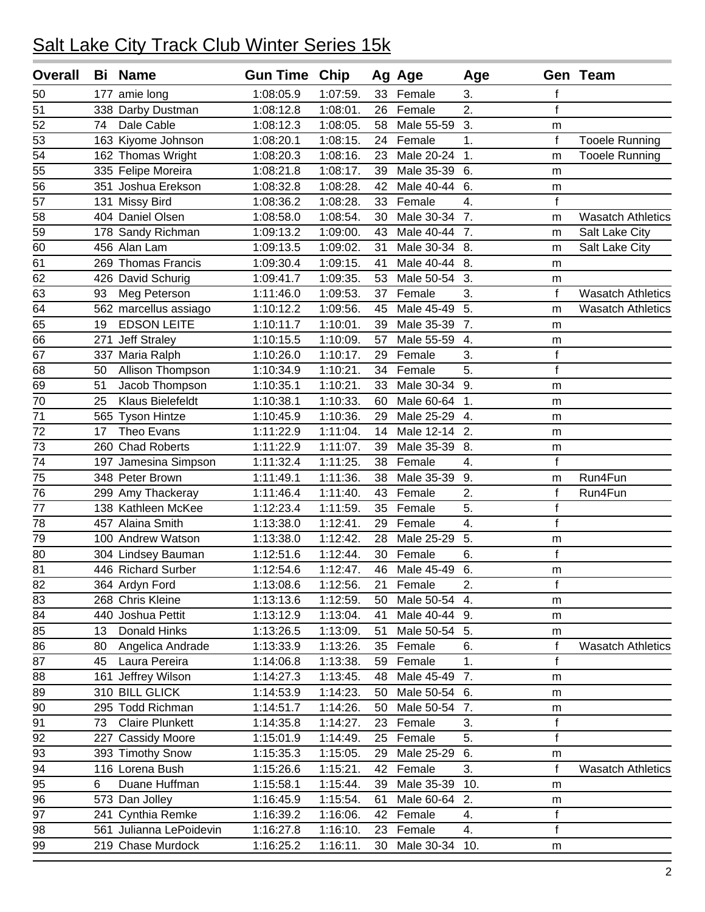| <b>Overall</b>  | Bi  | <b>Name</b>             | <b>Gun Time Chip</b>   |          |    | Ag Age           | Age           |                   | Gen Team                 |
|-----------------|-----|-------------------------|------------------------|----------|----|------------------|---------------|-------------------|--------------------------|
| 50              |     | 177 amie long           | 1:08:05.9              | 1:07:59. | 33 | Female           | 3.            | f                 |                          |
| 51              |     | 338 Darby Dustman       | 1:08:12.8              | 1:08:01. | 26 | Female           | 2.            | f                 |                          |
| 52              | 74  | Dale Cable              | 1:08:12.3              | 1:08:05. | 58 | Male 55-59       | 3.            | m                 |                          |
| 53              |     | 163 Kiyome Johnson      | 1:08:20.1              | 1:08:15. | 24 | Female           | 1.            | $\mathsf{f}$      | <b>Tooele Running</b>    |
| 54              |     | 162 Thomas Wright       | 1:08:20.3              | 1:08:16. | 23 | Male 20-24       | 1.            | m                 | Tooele Running           |
| 55              |     | 335 Felipe Moreira      | 1:08:21.8              | 1:08:17. | 39 | Male 35-39 6.    |               | m                 |                          |
| $\overline{56}$ |     | 351 Joshua Erekson      | 1:08:32.8              | 1:08:28. | 42 | Male 40-44       | 6.            | m                 |                          |
| 57              |     | 131 Missy Bird          | 1:08:36.2              | 1:08:28. | 33 | Female           | 4.            | $\mathbf f$       |                          |
| 58              |     | 404 Daniel Olsen        | 1:08:58.0              | 1:08:54. | 30 | Male 30-34 7.    |               | m                 | <b>Wasatch Athletics</b> |
| 59              |     | 178 Sandy Richman       | 1:09:13.2              | 1:09:00. | 43 | Male 40-44 7.    |               | m                 | Salt Lake City           |
| 60              |     | 456 Alan Lam            | 1:09:13.5              | 1:09:02. | 31 | Male 30-34 8.    |               | m                 | Salt Lake City           |
| 61              |     | 269 Thomas Francis      | 1:09:30.4              | 1:09:15. | 41 | Male 40-44 8.    |               | m                 |                          |
| 62              |     | 426 David Schurig       | 1:09:41.7              | 1:09:35. | 53 | Male 50-54 3.    |               | m                 |                          |
| 63              | 93  | Meg Peterson            | 1:11:46.0              | 1:09:53. | 37 | Female           | 3.            | f                 | <b>Wasatch Athletics</b> |
| 64              |     | 562 marcellus assiago   | 1:10:12.2              | 1:09:56. | 45 | Male 45-49       | 5.            | m                 | <b>Wasatch Athletics</b> |
| 65              | 19  | <b>EDSON LEITE</b>      | 1:10:11.7              | 1:10:01. | 39 | Male 35-39 7.    |               | m                 |                          |
| 66              | 271 | <b>Jeff Straley</b>     | 1:10:15.5              | 1:10:09. | 57 | Male 55-59       | 4.            | m                 |                          |
| 67              |     | 337 Maria Ralph         | 1:10:26.0              | 1:10:17. | 29 | Female           | 3.            | $\mathsf{f}$      |                          |
| 68              | 50  | Allison Thompson        | 1:10:34.9              | 1:10:21. | 34 | Female           | 5.            | $\mathbf{f}$      |                          |
| 69              | 51  | Jacob Thompson          | 1:10:35.1              | 1:10:21. | 33 | Male 30-34       | 9.            | m                 |                          |
| 70              | 25  | <b>Klaus Bielefeldt</b> | 1:10:38.1              | 1:10:33. | 60 | Male 60-64       | $\mathbf 1$ . | m                 |                          |
| 71              | 565 | <b>Tyson Hintze</b>     | 1:10:45.9              | 1:10:36. | 29 | Male 25-29       | 4.            | m                 |                          |
| 72              | 17  | Theo Evans              | 1:11:22.9              | 1:11:04. | 14 | Male 12-14 2.    |               | m                 |                          |
| 73              |     | 260 Chad Roberts        | 1:11:22.9              | 1:11:07. | 39 | Male 35-39       | 8.            | m                 |                          |
| 74              |     | 197 Jamesina Simpson    | 1:11:32.4              | 1:11:25. | 38 | Female           | 4.            | $\mathbf f$       |                          |
| 75              |     | 348 Peter Brown         | 1:11:49.1              | 1:11:36. | 38 | Male 35-39       | 9.            | m                 | Run4Fun                  |
| 76              |     | 299 Amy Thackeray       | 1:11:46.4              | 1:11:40. | 43 | Female           | 2.            | f                 | Run4Fun                  |
| 77              |     | 138 Kathleen McKee      | 1:12:23.4              | 1:11:59. | 35 | Female           | 5.            | $\mathsf{f}$      |                          |
| 78              |     | 457 Alaina Smith        | 1:13:38.0              | 1:12:41. | 29 | Female           | 4.            | $\mathsf{f}$      |                          |
| 79              |     | 100 Andrew Watson       | 1:13:38.0              | 1:12:42. | 28 | Male 25-29       | 5.            | m                 |                          |
| 80              |     | 304 Lindsey Bauman      | 1:12:51.6              | 1:12:44. | 30 | Female           | 6.            | $\mathsf{f}$      |                          |
| 81              |     | 446 Richard Surber      | 1:12:54.6              | 1:12:47. |    | 46 Male 45-49 6. |               | m                 |                          |
| 82              |     | 364 Ardyn Ford          | 1:13:08.6              | 1:12:56. |    | 21 Female        | 2.            | f                 |                          |
| 83              |     | 268 Chris Kleine        | 1:13:13.6              | 1:12:59. | 50 | Male 50-54 4.    |               | m                 |                          |
| 84              |     | 440 Joshua Pettit       | 1:13:12.9              | 1:13:04. | 41 | Male 40-44 9.    |               |                   |                          |
| 85              | 13  | Donald Hinks            | 1:13:26.5              | 1:13:09. | 51 | Male 50-54 5.    |               | m                 |                          |
|                 | 80  | Angelica Andrade        |                        | 1:13:26. | 35 | Female           | 6.            | m<br>$\mathsf{f}$ | <b>Wasatch Athletics</b> |
| 86<br>87        | 45  | Laura Pereira           | 1:13:33.9<br>1:14:06.8 |          |    | Female           | 1.            | f                 |                          |
|                 |     |                         |                        | 1:13:38. | 59 |                  |               |                   |                          |
| 88              |     | 161 Jeffrey Wilson      | 1:14:27.3              | 1:13:45. | 48 | Male 45-49 7.    |               | m                 |                          |
| 89              |     | 310 BILL GLICK          | 1:14:53.9              | 1:14:23. | 50 | Male 50-54       | 6.            | m                 |                          |
| 90              |     | 295 Todd Richman        | 1:14:51.7              | 1:14:26. | 50 | Male 50-54 7.    |               | m                 |                          |
| 91              | 73  | <b>Claire Plunkett</b>  | 1:14:35.8              | 1:14:27. | 23 | Female           | 3.            | $\mathsf{f}$      |                          |
| 92              |     | 227 Cassidy Moore       | 1:15:01.9              | 1:14:49. |    | 25 Female        | 5.            | f                 |                          |
| 93              |     | 393 Timothy Snow        | 1:15:35.3              | 1:15:05. | 29 | Male 25-29       | 6.            | m                 |                          |
| 94              |     | 116 Lorena Bush         | 1:15:26.6              | 1:15:21. | 42 | Female           | 3.            | $\mathbf f$       | <b>Wasatch Athletics</b> |
| 95              | 6   | Duane Huffman           | 1:15:58.1              | 1:15:44. | 39 | Male 35-39       | 10.           | m                 |                          |
| 96              |     | 573 Dan Jolley          | 1:16:45.9              | 1:15:54. | 61 | Male 60-64       | 2.            | m                 |                          |
| 97              |     | 241 Cynthia Remke       | 1:16:39.2              | 1:16:06. | 42 | Female           | 4.            | f                 |                          |
| 98              |     | 561 Julianna LePoidevin | 1:16:27.8              | 1:16:10. | 23 | Female           | 4.            | $\mathsf f$       |                          |
| 99              |     | 219 Chase Murdock       | 1:16:25.2              | 1:16:11. | 30 | Male 30-34 10.   |               | m                 |                          |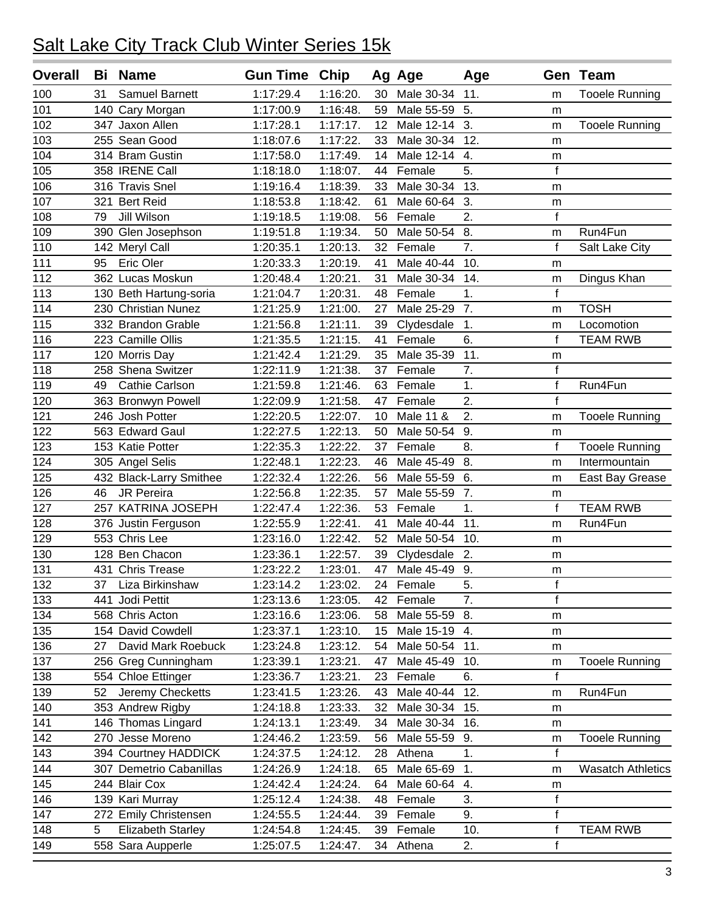| <b>Overall</b>   | Bi  | <b>Name</b>              | <b>Gun Time Chip</b> |          |    | Ag Age        | Age              |              | Gen Team                 |
|------------------|-----|--------------------------|----------------------|----------|----|---------------|------------------|--------------|--------------------------|
| 100              | 31  | Samuel Barnett           | 1:17:29.4            | 1:16:20. | 30 | Male 30-34    | 11.              | m            | <b>Tooele Running</b>    |
| 101              |     | 140 Cary Morgan          | 1:17:00.9            | 1:16:48. | 59 | Male 55-59 5. |                  | m            |                          |
| 102              |     | 347 Jaxon Allen          | 1:17:28.1            | 1:17:17. | 12 | Male 12-14 3. |                  | m            | <b>Tooele Running</b>    |
| 103              |     | 255 Sean Good            | 1:18:07.6            | 1:17:22. | 33 | Male 30-34    | 12.              | m            |                          |
| 104              |     | 314 Bram Gustin          | 1:17:58.0            | 1:17:49. | 14 | Male 12-14    | 4.               | m            |                          |
| 105              |     | 358 IRENE Call           | 1:18:18.0            | 1:18:07. | 44 | Female        | 5.               | f            |                          |
| 106              |     | 316 Travis Snel          | 1:19:16.4            | 1:18:39. | 33 | Male 30-34    | 13.              | m            |                          |
| $10\overline{7}$ |     | 321 Bert Reid            | 1:18:53.8            | 1:18:42. | 61 | Male 60-64 3. |                  | m            |                          |
| 108              | 79  | Jill Wilson              | 1:19:18.5            | 1:19:08. | 56 | Female        | 2.               | $\mathsf f$  |                          |
| 109              |     | 390 Glen Josephson       | 1:19:51.8            | 1:19:34. | 50 | Male 50-54    | 8.               | m            | Run4Fun                  |
| 110              |     | 142 Meryl Call           | 1:20:35.1            | 1:20:13. | 32 | Female        | 7.               | $\mathsf{f}$ | Salt Lake City           |
| 111              | 95  | Eric Oler                | 1:20:33.3            | 1:20:19. | 41 | Male 40-44    | 10.              | m            |                          |
| 112              |     | 362 Lucas Moskun         | 1:20:48.4            | 1:20:21. | 31 | Male 30-34    | 14.              | m            | Dingus Khan              |
| 113              |     | 130 Beth Hartung-soria   | 1:21:04.7            | 1:20:31. | 48 | Female        | 1.               | $\mathsf{f}$ |                          |
| 114              |     | 230 Christian Nunez      | 1:21:25.9            | 1:21:00. | 27 | Male 25-29 7. |                  | m            | <b>TOSH</b>              |
| 115              |     | 332 Brandon Grable       | 1:21:56.8            | 1:21:11. | 39 | Clydesdale    | 1.               | m            | Locomotion               |
| 116              |     | 223 Camille Ollis        | 1:21:35.5            | 1:21:15. | 41 | Female        | 6.               | f            | <b>TEAM RWB</b>          |
| 117              |     | 120 Morris Day           | 1:21:42.4            | 1:21:29. | 35 | Male 35-39    | 11.              | m            |                          |
| 118              |     | 258 Shena Switzer        | 1:22:11.9            | 1:21:38. | 37 | Female        | 7.               | f            |                          |
| 119              | 49  | Cathie Carlson           | 1:21:59.8            | 1:21:46. | 63 | Female        | $\overline{1}$ . | $\mathsf f$  | Run4Fun                  |
| 120              |     | 363 Bronwyn Powell       | 1:22:09.9            | 1:21:58. | 47 | Female        | 2.               | $\mathsf{f}$ |                          |
| 121              |     | 246 Josh Potter          | 1:22:20.5            | 1:22:07. | 10 | Male 11 &     | 2.               | m            | <b>Tooele Running</b>    |
| 122              |     | 563 Edward Gaul          | 1:22:27.5            | 1:22:13. | 50 | Male 50-54    | 9.               | m            |                          |
| 123              |     | 153 Katie Potter         | 1:22:35.3            | 1:22:22. | 37 | Female        | 8.               | $\mathsf{f}$ | <b>Tooele Running</b>    |
| 124              |     | 305 Angel Selis          | 1:22:48.1            | 1:22:23. | 46 | Male 45-49    | 8.               | m            | Intermountain            |
| 125              |     | 432 Black-Larry Smithee  | 1:22:32.4            | 1:22:26. | 56 | Male 55-59 6. |                  | m            | East Bay Grease          |
| 126              | 46  | JR Pereira               | 1:22:56.8            | 1:22:35. | 57 | Male 55-59    | 7.               | m            |                          |
| 127              |     | 257 KATRINA JOSEPH       | 1:22:47.4            | 1:22:36. | 53 | Female        | 1.               | $\mathbf f$  | <b>TEAM RWB</b>          |
| 128              |     | 376 Justin Ferguson      | 1:22:55.9            | 1:22:41. | 41 | Male 40-44    | 11.              | m            | Run4Fun                  |
| 129              |     | 553 Chris Lee            | 1:23:16.0            | 1:22:42. | 52 | Male 50-54    | 10.              | m            |                          |
| 130              |     | 128 Ben Chacon           | 1:23:36.1            | 1:22:57. | 39 | Clydesdale 2. |                  | m            |                          |
| 131              |     | 431 Chris Trease         | 1:23:22.2            | 1:23:01. | 47 | Male 45-49 9. |                  | m            |                          |
| 132              | 37  | Liza Birkinshaw          | 1:23:14.2            | 1:23:02. | 24 | Female        | 5.               | f            |                          |
| 133              | 441 | Jodi Pettit              | 1:23:13.6            | 1:23:05. | 42 | Female        | 7.               | f            |                          |
| 134              |     | 568 Chris Acton          | 1:23:16.6            | 1:23:06. | 58 | Male 55-59    | 8.               | m            |                          |
| 135              |     | 154 David Cowdell        | 1:23:37.1            | 1:23:10. | 15 | Male 15-19    | 4.               | m            |                          |
| 136              | 27  | David Mark Roebuck       | 1:23:24.8            | 1:23:12. | 54 | Male 50-54    | 11.              | m            |                          |
| 137              |     | 256 Greg Cunningham      | 1:23:39.1            | 1:23:21. | 47 | Male 45-49    | 10.              | m            | <b>Tooele Running</b>    |
| 138              |     | 554 Chloe Ettinger       | 1:23:36.7            | 1:23:21. | 23 | Female        | 6.               | f            |                          |
| 139              | 52  | Jeremy Checketts         | 1:23:41.5            | 1:23:26. | 43 | Male 40-44    | 12.              | m            | Run4Fun                  |
| 140              |     | 353 Andrew Rigby         | 1:24:18.8            | 1:23:33. | 32 | Male 30-34    | 15.              | m            |                          |
| 141              |     | 146 Thomas Lingard       | 1:24:13.1            | 1:23:49. | 34 | Male 30-34    | 16.              | m            |                          |
| 142              |     | 270 Jesse Moreno         | 1:24:46.2            | 1:23:59. | 56 | Male 55-59 9. |                  | m            | <b>Tooele Running</b>    |
| 143              |     | 394 Courtney HADDICK     | 1:24:37.5            | 1:24:12. | 28 | Athena        | 1.               | $\mathsf{f}$ |                          |
| 144              |     | 307 Demetrio Cabanillas  | 1:24:26.9            | 1:24:18. | 65 | Male 65-69    | 1.               | m            | <b>Wasatch Athletics</b> |
| 145              |     | 244 Blair Cox            | 1:24:42.4            | 1:24:24. | 64 | Male 60-64    | 4.               | m            |                          |
| 146              |     | 139 Kari Murray          | 1:25:12.4            | 1:24:38. | 48 | Female        | 3.               | f            |                          |
| 147              |     | 272 Emily Christensen    | 1:24:55.5            | 1:24:44. | 39 | Female        | 9.               | f            |                          |
| 148              | 5   | <b>Elizabeth Starley</b> | 1:24:54.8            | 1:24:45. | 39 | Female        | 10.              | f            | <b>TEAM RWB</b>          |
| 149              |     | 558 Sara Aupperle        | 1:25:07.5            | 1:24:47. | 34 | Athena        | 2.               | f            |                          |
|                  |     |                          |                      |          |    |               |                  |              |                          |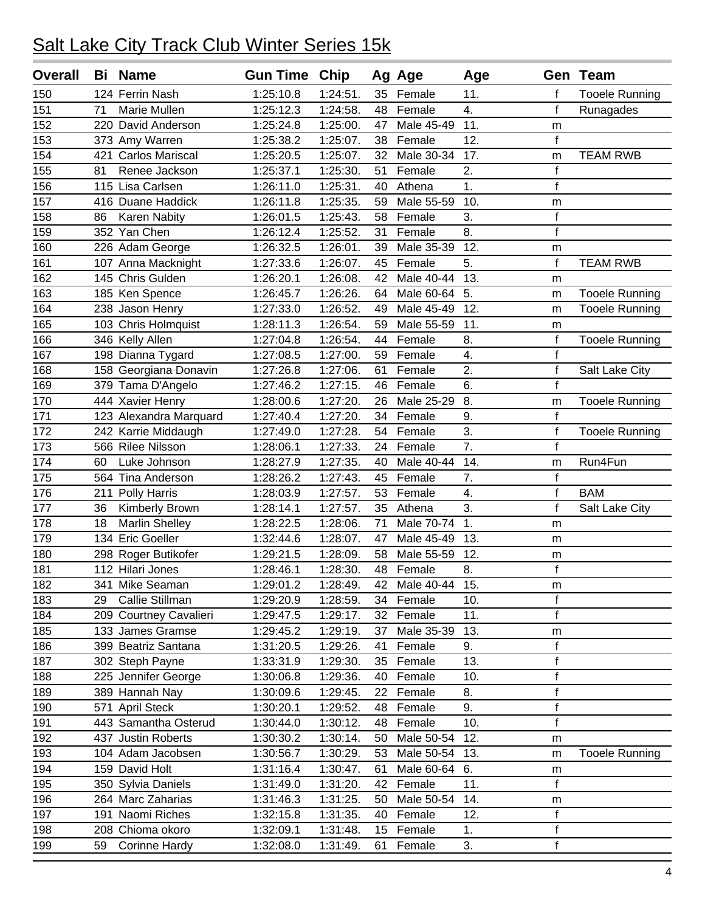| <b>Overall</b> |    | Bi Name                | <b>Gun Time Chip</b> |          |    | Ag Age     | Age |              | Gen Team              |
|----------------|----|------------------------|----------------------|----------|----|------------|-----|--------------|-----------------------|
| 150            |    | 124 Ferrin Nash        | 1:25:10.8            | 1:24:51. | 35 | Female     | 11. | f            | <b>Tooele Running</b> |
| 151            | 71 | Marie Mullen           | 1:25:12.3            | 1:24:58. | 48 | Female     | 4.  | $\mathbf{f}$ | Runagades             |
| 152            |    | 220 David Anderson     | 1:25:24.8            | 1:25:00. | 47 | Male 45-49 | 11. | m            |                       |
| 153            |    | 373 Amy Warren         | 1:25:38.2            | 1:25:07. | 38 | Female     | 12. | $\mathsf f$  |                       |
| 154            |    | 421 Carlos Mariscal    | 1:25:20.5            | 1:25:07. | 32 | Male 30-34 | 17. | m            | <b>TEAM RWB</b>       |
| 155            | 81 | Renee Jackson          | 1:25:37.1            | 1:25:30. | 51 | Female     | 2.  | $\mathsf f$  |                       |
| 156            |    | 115 Lisa Carlsen       | 1:26:11.0            | 1:25:31. | 40 | Athena     | 1.  | f            |                       |
| 157            |    | 416 Duane Haddick      | 1:26:11.8            | 1:25:35. | 59 | Male 55-59 | 10. | m            |                       |
| 158            | 86 | <b>Karen Nabity</b>    | 1:26:01.5            | 1:25:43. | 58 | Female     | 3.  | $\mathsf f$  |                       |
| 159            |    | 352 Yan Chen           | 1:26:12.4            | 1:25:52. | 31 | Female     | 8.  | f            |                       |
| 160            |    | 226 Adam George        | 1:26:32.5            | 1:26:01. | 39 | Male 35-39 | 12. | m            |                       |
| 161            |    | 107 Anna Macknight     | 1:27:33.6            | 1:26:07. | 45 | Female     | 5.  | $\mathsf{f}$ | <b>TEAM RWB</b>       |
| 162            |    | 145 Chris Gulden       | 1:26:20.1            | 1:26:08. | 42 | Male 40-44 | 13. | m            |                       |
| 163            |    | 185 Ken Spence         | 1:26:45.7            | 1:26:26. | 64 | Male 60-64 | 5.  | m            | <b>Tooele Running</b> |
| 164            |    | 238 Jason Henry        | 1:27:33.0            | 1:26:52. | 49 | Male 45-49 | 12. | m            | <b>Tooele Running</b> |
| 165            |    | 103 Chris Holmquist    | 1:28:11.3            | 1:26:54. | 59 | Male 55-59 | 11. | m            |                       |
| 166            |    | 346 Kelly Allen        | 1:27:04.8            | 1:26:54. | 44 | Female     | 8.  | f            | <b>Tooele Running</b> |
| 167            |    | 198 Dianna Tygard      | 1:27:08.5            | 1:27:00. | 59 | Female     | 4.  | f            |                       |
| 168            |    | 158 Georgiana Donavin  | 1:27:26.8            | 1:27:06. | 61 | Female     | 2.  | f            | Salt Lake City        |
| 169            |    | 379 Tama D'Angelo      | 1:27:46.2            | 1:27:15. | 46 | Female     | 6.  | $\mathsf{f}$ |                       |
| 170            |    | 444 Xavier Henry       | 1:28:00.6            | 1:27:20. | 26 | Male 25-29 | 8.  | m            | <b>Tooele Running</b> |
| 171            |    | 123 Alexandra Marquard | 1:27:40.4            | 1:27:20. | 34 | Female     | 9.  | $\mathsf{f}$ |                       |
| 172            |    | 242 Karrie Middaugh    | 1:27:49.0            | 1:27:28. | 54 | Female     | 3.  | f            | <b>Tooele Running</b> |
| 173            |    | 566 Rilee Nilsson      | 1:28:06.1            | 1:27:33. | 24 | Female     | 7.  | $\mathsf f$  |                       |
| 174            | 60 | Luke Johnson           | 1:28:27.9            | 1:27:35. | 40 | Male 40-44 | 14. | m            | Run4Fun               |
| 175            |    | 564 Tina Anderson      | 1:28:26.2            | 1:27:43. | 45 | Female     | 7.  | f            |                       |
| 176            |    | 211 Polly Harris       | 1:28:03.9            | 1:27:57. | 53 | Female     | 4.  | $\mathsf f$  | <b>BAM</b>            |
| 177            | 36 | Kimberly Brown         | 1:28:14.1            | 1:27:57. | 35 | Athena     | 3.  | f            | Salt Lake City        |
| 178            | 18 | <b>Marlin Shelley</b>  | 1:28:22.5            | 1:28:06. | 71 | Male 70-74 | 1.  | m            |                       |
| 179            |    | 134 Eric Goeller       | 1:32:44.6            | 1:28:07. | 47 | Male 45-49 | 13. | m            |                       |
| 180            |    | 298 Roger Butikofer    | 1:29:21.5            | 1:28:09. | 58 | Male 55-59 | 12. | m            |                       |
| 181            |    | 112 Hilari Jones       | 1:28:46.1            | 1:28:30. | 48 | Female     | 8.  | $\mathsf{f}$ |                       |
| 182            |    | 341 Mike Seaman        | 1:29:01.2            | 1:28:49. | 42 | Male 40-44 | 15. | m            |                       |
| 183            | 29 | Callie Stillman        | 1:29:20.9            | 1:28:59. | 34 | Female     | 10. | $\mathsf{f}$ |                       |
| 184            |    | 209 Courtney Cavalieri | 1:29:47.5            | 1:29:17. |    | 32 Female  | 11. | f            |                       |
| 185            |    | 133 James Gramse       | 1:29:45.2            | 1:29:19. | 37 | Male 35-39 | 13. | m            |                       |
| 186            |    | 399 Beatriz Santana    | 1:31:20.5            | 1:29:26. | 41 | Female     | 9.  | f            |                       |
| 187            |    | 302 Steph Payne        | 1:33:31.9            | 1:29:30. | 35 | Female     | 13. | f            |                       |
| 188            |    | 225 Jennifer George    | 1:30:06.8            | 1:29:36. | 40 | Female     | 10. | f            |                       |
| 189            |    | 389 Hannah Nay         | 1:30:09.6            | 1:29:45. | 22 | Female     | 8.  | f            |                       |
| 190            |    | 571 April Steck        | 1:30:20.1            | 1:29:52. | 48 | Female     | 9.  | $\mathsf f$  |                       |
| 191            |    | 443 Samantha Osterud   | 1:30:44.0            | 1:30:12. | 48 | Female     | 10. | f            |                       |
| 192            |    | 437 Justin Roberts     | 1:30:30.2            | 1:30:14. | 50 | Male 50-54 | 12. | m            |                       |
| 193            |    | 104 Adam Jacobsen      | 1:30:56.7            | 1:30:29. | 53 | Male 50-54 | 13. | m            | <b>Tooele Running</b> |
| 194            |    | 159 David Holt         | 1:31:16.4            | 1:30:47. | 61 | Male 60-64 | 6.  | m            |                       |
| 195            |    | 350 Sylvia Daniels     | 1:31:49.0            | 1:31:20. | 42 | Female     | 11. | f            |                       |
| 196            |    | 264 Marc Zaharias      | 1:31:46.3            | 1:31:25. | 50 | Male 50-54 | 14. | m            |                       |
| 197            |    | 191 Naomi Riches       | 1:32:15.8            | 1:31:35. | 40 | Female     | 12. | f            |                       |
| 198            |    | 208 Chioma okoro       | 1:32:09.1            | 1:31:48. | 15 | Female     | 1.  | f            |                       |
| 199            | 59 | <b>Corinne Hardy</b>   | 1:32:08.0            | 1:31:49. | 61 | Female     | 3.  | f            |                       |
|                |    |                        |                      |          |    |            |     |              |                       |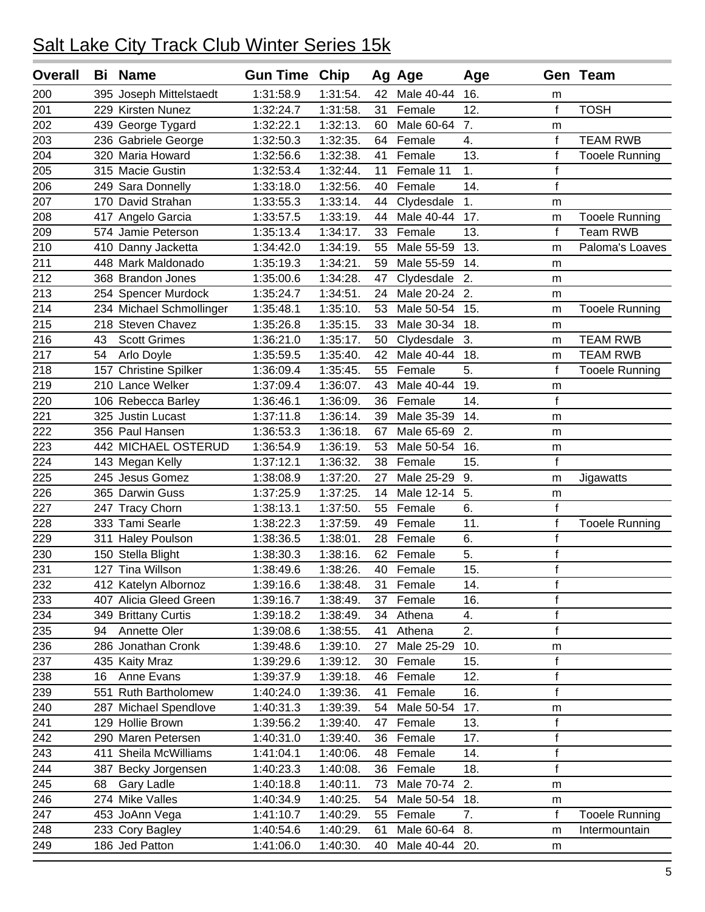| <b>Overall</b> | Bi | <b>Name</b>              | <b>Gun Time Chip</b> |          |    | Ag Age        | Age |              | Gen Team              |
|----------------|----|--------------------------|----------------------|----------|----|---------------|-----|--------------|-----------------------|
| 200            |    | 395 Joseph Mittelstaedt  | 1:31:58.9            | 1:31:54. | 42 | Male 40-44    | 16. | m            |                       |
| 201            |    | 229 Kirsten Nunez        | 1:32:24.7            | 1:31:58. | 31 | Female        | 12. | $\mathbf{f}$ | <b>TOSH</b>           |
| 202            |    | 439 George Tygard        | 1:32:22.1            | 1:32:13. | 60 | Male 60-64 7. |     | m            |                       |
| 203            |    | 236 Gabriele George      | 1:32:50.3            | 1:32:35. | 64 | Female        | 4.  | f            | <b>TEAM RWB</b>       |
| 204            |    | 320 Maria Howard         | 1:32:56.6            | 1:32:38. | 41 | Female        | 13. | f            | <b>Tooele Running</b> |
| 205            |    | 315 Macie Gustin         | 1:32:53.4            | 1:32:44. | 11 | Female 11     | 1.  | f            |                       |
| 206            |    | 249 Sara Donnelly        | 1:33:18.0            | 1:32:56. | 40 | Female        | 14. | f            |                       |
| 207            |    | 170 David Strahan        | 1:33:55.3            | 1:33:14. | 44 | Clydesdale    | 1.  | m            |                       |
| 208            |    | 417 Angelo Garcia        | 1:33:57.5            | 1:33:19. | 44 | Male 40-44    | 17. | m            | <b>Tooele Running</b> |
| 209            |    | 574 Jamie Peterson       | 1:35:13.4            | 1:34:17. | 33 | Female        | 13. | $\mathsf{f}$ | <b>Team RWB</b>       |
| 210            |    | 410 Danny Jacketta       | 1:34:42.0            | 1:34:19. | 55 | Male 55-59    | 13. | m            | Paloma's Loaves       |
| 211            |    | 448 Mark Maldonado       | 1:35:19.3            | 1:34:21. | 59 | Male 55-59    | 14. | m            |                       |
| 212            |    | 368 Brandon Jones        | 1:35:00.6            | 1:34:28. | 47 | Clydesdale    | 2.  | m            |                       |
| 213            |    | 254 Spencer Murdock      | 1:35:24.7            | 1:34:51. | 24 | Male 20-24 2. |     | m            |                       |
| 214            |    | 234 Michael Schmollinger | 1:35:48.1            | 1:35:10. | 53 | Male 50-54    | 15. | m            | <b>Tooele Running</b> |
| 215            |    | 218 Steven Chavez        | 1:35:26.8            | 1:35:15. | 33 | Male 30-34    | 18. | m            |                       |
| 216            | 43 | <b>Scott Grimes</b>      | 1:36:21.0            | 1:35:17. | 50 | Clydesdale    | 3.  | m            | <b>TEAM RWB</b>       |
| 217            | 54 | Arlo Doyle               | 1:35:59.5            | 1:35:40. | 42 | Male 40-44    | 18. | m            | <b>TEAM RWB</b>       |
| 218            |    | 157 Christine Spilker    | 1:36:09.4            | 1:35:45. | 55 | Female        | 5.  | $\mathsf{f}$ | <b>Tooele Running</b> |
| 219            |    | 210 Lance Welker         | 1:37:09.4            | 1:36:07. | 43 | Male 40-44    | 19. | m            |                       |
| 220            |    | 106 Rebecca Barley       | 1:36:46.1            | 1:36:09. | 36 | Female        | 14. | $\mathsf{f}$ |                       |
| 221            |    | 325 Justin Lucast        | 1:37:11.8            | 1:36:14. | 39 | Male 35-39    | 14. | m            |                       |
| 222            |    | 356 Paul Hansen          | 1:36:53.3            | 1:36:18. | 67 | Male 65-69    | 2.  | m            |                       |
| 223            |    | 442 MICHAEL OSTERUD      | 1:36:54.9            | 1:36:19. | 53 | Male 50-54    | 16. | m            |                       |
| 224            |    | 143 Megan Kelly          | 1:37:12.1            | 1:36:32. | 38 | Female        | 15. | $\mathsf{f}$ |                       |
| 225            |    | 245 Jesus Gomez          | 1:38:08.9            | 1:37:20. | 27 | Male 25-29    | 9.  | m            | Jigawatts             |
| 226            |    | 365 Darwin Guss          | 1:37:25.9            | 1:37:25. | 14 | Male 12-14    | 5.  | m            |                       |
| 227            |    | 247 Tracy Chorn          | 1:38:13.1            | 1:37:50. | 55 | Female        | 6.  | f            |                       |
| 228            |    | 333 Tami Searle          | 1:38:22.3            | 1:37:59. | 49 | Female        | 11. | f            | <b>Tooele Running</b> |
| 229            |    | 311 Haley Poulson        | 1:38:36.5            | 1:38:01. | 28 | Female        | 6.  | f            |                       |
| 230            |    | 150 Stella Blight        | 1:38:30.3            | 1:38:16. | 62 | Female        | 5.  | $\mathsf f$  |                       |
| 231            |    | 127 Tina Willson         | 1:38:49.6            | 1:38:26. | 40 | Female        | 15. | f            |                       |
| 232            |    | 412 Katelyn Albornoz     | 1:39:16.6            | 1:38:48. |    | 31 Female     | 14. | f            |                       |
| 233            |    | 407 Alicia Gleed Green   | 1:39:16.7            | 1:38:49. | 37 | Female        | 16. | f            |                       |
| 234            |    | 349 Brittany Curtis      | 1:39:18.2            | 1:38:49. | 34 | Athena        | 4.  | f            |                       |
| 235            | 94 | Annette Oler             | 1:39:08.6            | 1:38:55. | 41 | Athena        | 2.  | f            |                       |
| 236            |    | 286 Jonathan Cronk       | 1:39:48.6            | 1:39:10. | 27 | Male 25-29    | 10. | m            |                       |
| 237            |    | 435 Kaity Mraz           | 1:39:29.6            | 1:39:12. | 30 | Female        | 15. | f            |                       |
| 238            | 16 | Anne Evans               | 1:39:37.9            | 1:39:18. | 46 | Female        | 12. | f            |                       |
| 239            |    | 551 Ruth Bartholomew     | 1:40:24.0            | 1:39:36. | 41 | Female        | 16. | f            |                       |
| 240            |    | 287 Michael Spendlove    | 1:40:31.3            | 1:39:39. | 54 | Male 50-54    | 17. | m            |                       |
| 241            |    | 129 Hollie Brown         | 1:39:56.2            | 1:39:40. | 47 | Female        | 13. | f            |                       |
| 242            |    | 290 Maren Petersen       | 1:40:31.0            | 1:39:40. | 36 | Female        | 17. | f            |                       |
| 243            |    | 411 Sheila McWilliams    | 1:41:04.1            | 1:40:06. | 48 | Female        | 14. | f            |                       |
| 244            |    | 387 Becky Jorgensen      | 1:40:23.3            | 1:40:08. | 36 | Female        | 18. | f            |                       |
| 245            | 68 | Gary Ladle               | 1:40:18.8            | 1:40:11. | 73 | Male 70-74    | 2.  | m            |                       |
| 246            |    | 274 Mike Valles          | 1:40:34.9            | 1:40:25. | 54 | Male 50-54    | 18. | m            |                       |
| 247            |    | 453 JoAnn Vega           | 1:41:10.7            | 1:40:29. | 55 | Female        | 7.  | $\mathsf f$  | <b>Tooele Running</b> |
| 248            |    | 233 Cory Bagley          | 1:40:54.6            | 1:40:29. | 61 | Male 60-64 8. |     | m            | Intermountain         |
| 249            |    | 186 Jed Patton           | 1:41:06.0            | 1:40:30. | 40 | Male 40-44    | 20. |              |                       |
|                |    |                          |                      |          |    |               |     | m            |                       |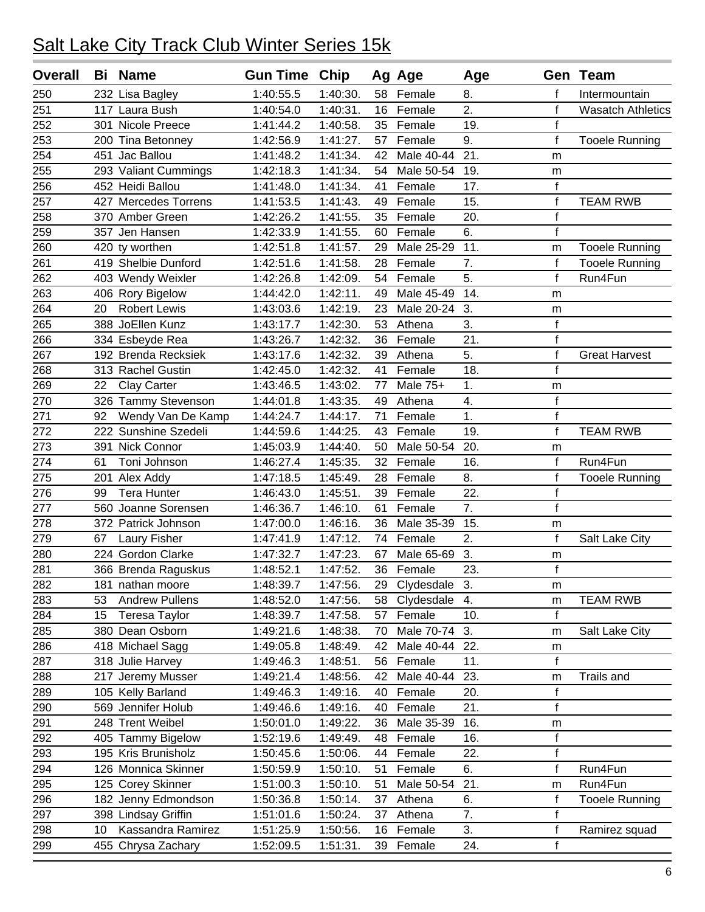| <b>Overall</b>   |    | <b>Bi</b> Name        | <b>Gun Time Chip</b> |          |    | Ag Age           | Age              |              | Gen Team                 |
|------------------|----|-----------------------|----------------------|----------|----|------------------|------------------|--------------|--------------------------|
| 250              |    | 232 Lisa Bagley       | 1:40:55.5            | 1:40:30. | 58 | Female           | 8.               | $\mathbf f$  | Intermountain            |
| 251              |    | 117 Laura Bush        | 1:40:54.0            | 1:40:31. | 16 | Female           | $\overline{2}$ . | f            | <b>Wasatch Athletics</b> |
| 252              |    | 301 Nicole Preece     | 1:41:44.2            | 1:40:58. | 35 | Female           | 19.              | f            |                          |
| 253              |    | 200 Tina Betonney     | 1:42:56.9            | 1:41:27. | 57 | Female           | 9.               | $\mathbf f$  | <b>Tooele Running</b>    |
| 254              |    | 451 Jac Ballou        | 1:41:48.2            | 1:41:34. | 42 | Male 40-44       | 21.              | m            |                          |
| 255              |    | 293 Valiant Cummings  | 1:42:18.3            | 1:41:34. | 54 | Male 50-54       | 19.              | m            |                          |
| 256              |    | 452 Heidi Ballou      | 1:41:48.0            | 1:41:34. | 41 | Female           | 17.              | f            |                          |
| 257              |    | 427 Mercedes Torrens  | 1:41:53.5            | 1:41:43. | 49 | Female           | 15.              | $\mathsf f$  | <b>TEAM RWB</b>          |
| 258              |    | 370 Amber Green       | 1:42:26.2            | 1:41:55. | 35 | Female           | 20.              | $\mathsf{f}$ |                          |
| 259              |    | 357 Jen Hansen        | 1:42:33.9            | 1:41:55. | 60 | Female           | 6.               | $\mathbf{f}$ |                          |
| 260              |    | 420 ty worthen        | 1:42:51.8            | 1:41:57. | 29 | Male 25-29       | 11.              | m            | <b>Tooele Running</b>    |
| 261              |    | 419 Shelbie Dunford   | 1:42:51.6            | 1:41:58. | 28 | Female           | 7.               | f            | <b>Tooele Running</b>    |
| 262              |    | 403 Wendy Weixler     | 1:42:26.8            | 1:42:09. | 54 | Female           | 5.               | $\mathbf f$  | Run4Fun                  |
| 263              |    | 406 Rory Bigelow      | 1:44:42.0            | 1:42:11. | 49 | Male 45-49       | 14.              | m            |                          |
| 264              | 20 | <b>Robert Lewis</b>   | 1:43:03.6            | 1:42:19. | 23 | Male 20-24       | 3.               | m            |                          |
| 265              |    | 388 JoEllen Kunz      | 1:43:17.7            | 1:42:30. | 53 | Athena           | 3.               | $\mathsf{f}$ |                          |
| 266              |    | 334 Esbeyde Rea       | 1:43:26.7            | 1:42:32. | 36 | Female           | 21.              | $\mathbf{f}$ |                          |
| 267              |    | 192 Brenda Recksiek   | 1:43:17.6            | 1:42:32. | 39 | Athena           | 5.               | f            | <b>Great Harvest</b>     |
| 268              |    | 313 Rachel Gustin     | 1:42:45.0            | 1:42:32. | 41 | Female           | 18.              | f            |                          |
| 269              | 22 | <b>Clay Carter</b>    | 1:43:46.5            | 1:43:02. | 77 | Male 75+         | 1.               | m            |                          |
| 270              |    | 326 Tammy Stevenson   | 1:44:01.8            | 1:43:35. | 49 | Athena           | 4.               | $\mathsf{f}$ |                          |
| 271              | 92 | Wendy Van De Kamp     | 1:44:24.7            | 1:44:17. | 71 | Female           | 1.               | $\mathbf{f}$ |                          |
| 272              |    | 222 Sunshine Szedeli  | 1:44:59.6            | 1:44:25. | 43 | Female           | 19.              | $\mathbf f$  | <b>TEAM RWB</b>          |
| 273              |    | 391 Nick Connor       | 1:45:03.9            | 1:44:40. | 50 | Male 50-54       | 20.              | m            |                          |
| 274              | 61 | Toni Johnson          | 1:46:27.4            | 1:45:35. | 32 | Female           | 16.              | $\mathbf{f}$ | Run4Fun                  |
| $\overline{275}$ |    | 201 Alex Addy         | 1:47:18.5            | 1:45:49. | 28 | Female           | 8.               | f            | <b>Tooele Running</b>    |
| 276              | 99 | Tera Hunter           | 1:46:43.0            | 1:45:51. | 39 | Female           | 22.              | f            |                          |
| 277              |    | 560 Joanne Sorensen   | 1:46:36.7            | 1:46:10. | 61 | Female           | 7.               | $\mathsf{f}$ |                          |
| 278              |    | 372 Patrick Johnson   | 1:47:00.0            | 1:46:16. | 36 | Male 35-39       | 15.              | m            |                          |
| 279              | 67 | Laury Fisher          | 1:47:41.9            | 1:47:12. | 74 | Female           | 2.               | $\mathsf{f}$ | Salt Lake City           |
| 280              |    | 224 Gordon Clarke     | 1:47:32.7            | 1:47:23. | 67 | Male 65-69       | 3.               | m            |                          |
| 281              |    | 366 Brenda Raguskus   | 1:48:52.1            | 1:47:52. | 36 | Female           | 23.              | $\mathsf{f}$ |                          |
| 282              |    | 181 nathan moore      | 1:48:39.7            | 1:47:56. |    | 29 Clydesdale 3. |                  | m            |                          |
| 283              | 53 | <b>Andrew Pullens</b> | 1:48:52.0            | 1:47:56. | 58 | Clydesdale 4.    |                  | m            | <b>TEAM RWB</b>          |
| 284              | 15 | <b>Teresa Taylor</b>  | 1:48:39.7            | 1:47:58. | 57 | Female           | 10.              | $\mathsf{f}$ |                          |
| 285              |    | 380 Dean Osborn       | 1:49:21.6            | 1:48:38. | 70 | Male 70-74       | 3.               | m            | Salt Lake City           |
| 286              |    | 418 Michael Sagg      | 1:49:05.8            | 1:48:49. | 42 | Male 40-44       | 22.              | m            |                          |
| 287              |    | 318 Julie Harvey      | 1:49:46.3            | 1:48:51. | 56 | Female           | 11.              | $\mathsf{f}$ |                          |
| 288              |    | 217 Jeremy Musser     | 1:49:21.4            | 1:48:56. | 42 | Male 40-44       | 23.              | m            | Trails and               |
| 289              |    | 105 Kelly Barland     | 1:49:46.3            | 1:49:16. | 40 | Female           | 20.              | $\mathsf f$  |                          |
| 290              |    | 569 Jennifer Holub    | 1:49:46.6            | 1:49:16. | 40 | Female           | 21.              | $\mathsf{f}$ |                          |
| 291              |    | 248 Trent Weibel      | 1:50:01.0            | 1:49:22. | 36 | Male 35-39       | 16.              | m            |                          |
| 292              |    | 405 Tammy Bigelow     | 1:52:19.6            | 1:49:49. | 48 | Female           | 16.              | f            |                          |
| 293              |    | 195 Kris Brunisholz   | 1:50:45.6            | 1:50:06. | 44 | Female           | 22.              | f            |                          |
|                  |    | 126 Monnica Skinner   |                      |          |    |                  | 6.               | f            |                          |
| 294<br>295       |    | 125 Corey Skinner     | 1:50:59.9            | 1:50:10. | 51 | Female           |                  |              | Run4Fun<br>Run4Fun       |
|                  |    |                       | 1:51:00.3            | 1:50:10. | 51 | Male 50-54       | 21.              | m            |                          |
| 296              |    | 182 Jenny Edmondson   | 1:50:36.8            | 1:50:14. | 37 | Athena           | 6.               | $\mathsf{f}$ | <b>Tooele Running</b>    |
| 297              |    | 398 Lindsay Griffin   | 1:51:01.6            | 1:50:24. | 37 | Athena           | 7.               | $\mathsf{f}$ |                          |
| 298              | 10 | Kassandra Ramirez     | 1:51:25.9            | 1:50:56. | 16 | Female           | 3.               | $\mathsf{f}$ | Ramirez squad            |
| 299              |    | 455 Chrysa Zachary    | 1:52:09.5            | 1:51:31. | 39 | Female           | 24.              | f            |                          |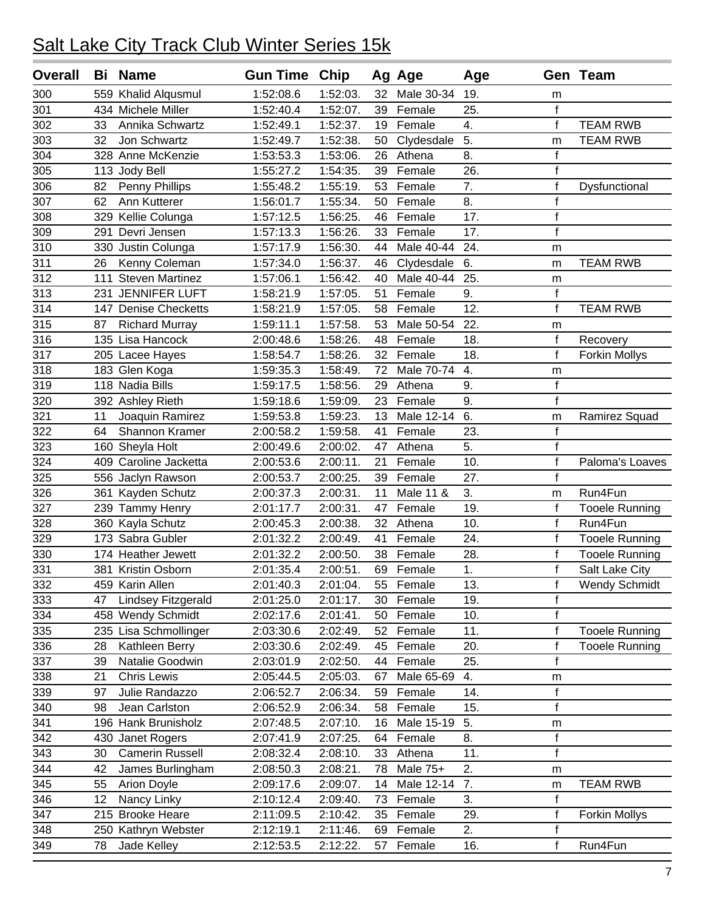| <b>Overall</b> | Bi  | <b>Name</b>            | <b>Gun Time Chip</b> |          |    | Ag Age     | Age              |              | Gen Team              |
|----------------|-----|------------------------|----------------------|----------|----|------------|------------------|--------------|-----------------------|
| 300            |     | 559 Khalid Alqusmul    | 1:52:08.6            | 1:52:03. | 32 | Male 30-34 | 19.              | m            |                       |
| 301            |     | 434 Michele Miller     | 1:52:40.4            | 1:52:07. | 39 | Female     | 25.              | $\mathbf{f}$ |                       |
| 302            | 33  | Annika Schwartz        | 1:52:49.1            | 1:52:37. | 19 | Female     | 4.               | $\mathbf{f}$ | <b>TEAM RWB</b>       |
| 303            | 32  | Jon Schwartz           | 1:52:49.7            | 1:52:38. | 50 | Clydesdale | 5.               | m            | <b>TEAM RWB</b>       |
| 304            |     | 328 Anne McKenzie      | 1:53:53.3            | 1:53:06. | 26 | Athena     | 8.               | f            |                       |
| 305            |     | 113 Jody Bell          | 1:55:27.2            | 1:54:35. | 39 | Female     | 26.              | f            |                       |
| 306            | 82  | <b>Penny Phillips</b>  | 1:55:48.2            | 1:55:19. | 53 | Female     | 7.               | f            | Dysfunctional         |
| 307            | 62  | Ann Kutterer           | 1:56:01.7            | 1:55:34. | 50 | Female     | 8.               | f            |                       |
| 308            |     | 329 Kellie Colunga     | 1:57:12.5            | 1:56:25. | 46 | Female     | 17.              | f            |                       |
| 309            |     | 291 Devri Jensen       | 1:57:13.3            | 1:56:26. | 33 | Female     | 17.              | $\mathbf{f}$ |                       |
| 310            |     | 330 Justin Colunga     | 1:57:17.9            | 1:56:30. | 44 | Male 40-44 | 24.              | m            |                       |
| 311            | 26  | Kenny Coleman          | 1:57:34.0            | 1:56:37. | 46 | Clydesdale | 6.               | m            | <b>TEAM RWB</b>       |
| 312            | 111 | <b>Steven Martinez</b> | 1:57:06.1            | 1:56:42. | 40 | Male 40-44 | 25.              | m            |                       |
| 313            |     | 231 JENNIFER LUFT      | 1:58:21.9            | 1:57:05. | 51 | Female     | 9.               | $\mathsf{f}$ |                       |
| 314            |     | 147 Denise Checketts   | 1:58:21.9            | 1:57:05. | 58 | Female     | 12.              | f            | <b>TEAM RWB</b>       |
| 315            | 87  | <b>Richard Murray</b>  | 1:59:11.1            | 1:57:58. | 53 | Male 50-54 | 22.              | m            |                       |
| 316            |     | 135 Lisa Hancock       | 2:00:48.6            | 1:58:26. | 48 | Female     | 18.              | f            | Recovery              |
| 317            |     | 205 Lacee Hayes        | 1:58:54.7            | 1:58:26. | 32 | Female     | 18.              | f            | Forkin Mollys         |
| 318            |     | 183 Glen Koga          | 1:59:35.3            | 1:58:49. | 72 | Male 70-74 | $\overline{4}$ . | m            |                       |
| 319            |     | 118 Nadia Bills        | 1:59:17.5            | 1:58:56. | 29 | Athena     | 9.               | $\mathsf{f}$ |                       |
| 320            |     | 392 Ashley Rieth       | 1:59:18.6            | 1:59:09. | 23 | Female     | 9.               | f            |                       |
| 321            | 11  | Joaquin Ramirez        | 1:59:53.8            | 1:59:23. | 13 | Male 12-14 | 6.               | m            | Ramirez Squad         |
| 322            | 64  | Shannon Kramer         | 2:00:58.2            | 1:59:58. | 41 | Female     | 23.              | $\mathsf{f}$ |                       |
| 323            | 160 | Sheyla Holt            | 2:00:49.6            | 2:00:02. | 47 | Athena     | 5.               | $\mathbf f$  |                       |
| 324            |     | 409 Caroline Jacketta  | 2:00:53.6            | 2:00:11. | 21 | Female     | 10.              | f            | Paloma's Loaves       |
| 325            |     | 556 Jaclyn Rawson      | 2:00:53.7            | 2:00:25. | 39 | Female     | 27.              | $\mathbf{f}$ |                       |
| 326            |     | 361 Kayden Schutz      | 2:00:37.3            | 2:00:31. | 11 | Male 11 &  | 3.               | m            | Run4Fun               |
| 327            |     | 239 Tammy Henry        | 2:01:17.7            | 2:00:31. | 47 | Female     | 19.              | $\mathsf{f}$ | <b>Tooele Running</b> |
| 328            |     | 360 Kayla Schutz       | 2:00:45.3            | 2:00:38. | 32 | Athena     | 10.              | $\mathsf{f}$ | Run4Fun               |
| 329            |     | 173 Sabra Gubler       | 2:01:32.2            | 2:00:49. | 41 | Female     | 24.              | $\mathsf{f}$ | <b>Tooele Running</b> |
| 330            |     | 174 Heather Jewett     | 2:01:32.2            | 2:00:50. | 38 | Female     | 28.              | f            | <b>Tooele Running</b> |
| 331            |     | 381 Kristin Osborn     | 2:01:35.4            | 2:00:51. |    | 69 Female  | 1.               | f            | Salt Lake City        |
| 332            |     | 459 Karin Allen        | 2:01:40.3            | 2:01:04. | 55 | Female     | 13.              | f            | <b>Wendy Schmidt</b>  |
| 333            | 47  | Lindsey Fitzgerald     | 2:01:25.0            | 2:01:17. | 30 | Female     | 19.              | f            |                       |
| 334            |     | 458 Wendy Schmidt      | 2:02:17.6            | 2:01:41. | 50 | Female     | 10.              | f            |                       |
| 335            |     | 235 Lisa Schmollinger  | 2:03:30.6            | 2:02:49. | 52 | Female     | 11.              | f            | <b>Tooele Running</b> |
| 336            | 28  | Kathleen Berry         | 2:03:30.6            | 2:02:49. | 45 | Female     | 20.              | f            | <b>Tooele Running</b> |
| 337            | 39  | Natalie Goodwin        | 2:03:01.9            | 2:02:50. | 44 | Female     | 25.              | f            |                       |
| 338            | 21  | <b>Chris Lewis</b>     | 2:05:44.5            | 2:05:03. | 67 | Male 65-69 | 4.               | m            |                       |
| 339            | 97  | Julie Randazzo         | 2:06:52.7            | 2:06:34. | 59 | Female     | 14.              | f            |                       |
| 340            | 98  | Jean Carlston          | 2:06:52.9            | 2:06:34. | 58 | Female     | 15.              | $\mathsf f$  |                       |
| 341            |     | 196 Hank Brunisholz    | 2:07:48.5            | 2:07:10. | 16 | Male 15-19 | 5.               | m            |                       |
| 342            |     | 430 Janet Rogers       | 2:07:41.9            | 2:07:25. | 64 | Female     | 8.               | f            |                       |
| 343            | 30  | <b>Camerin Russell</b> | 2:08:32.4            | 2:08:10. | 33 | Athena     | 11.              | f            |                       |
| 344            | 42  | James Burlingham       | 2:08:50.3            | 2:08:21. | 78 | Male 75+   | 2.               | m            |                       |
| 345            | 55  | <b>Arion Doyle</b>     | 2:09:17.6            | 2:09:07. | 14 | Male 12-14 | 7.               | m            | <b>TEAM RWB</b>       |
| 346            | 12  | Nancy Linky            | 2:10:12.4            | 2:09:40. | 73 | Female     | 3.               | f            |                       |
| 347            |     | 215 Brooke Heare       | 2:11:09.5            | 2:10:42. | 35 | Female     | 29.              | f            | Forkin Mollys         |
| 348            |     | 250 Kathryn Webster    | 2:12:19.1            | 2:11:46. | 69 | Female     | 2.               |              |                       |
| 349            | 78  | Jade Kelley            | 2:12:53.5            | 2:12:22. | 57 | Female     | 16.              | f            | Run4Fun               |
|                |     |                        |                      |          |    |            |                  |              |                       |